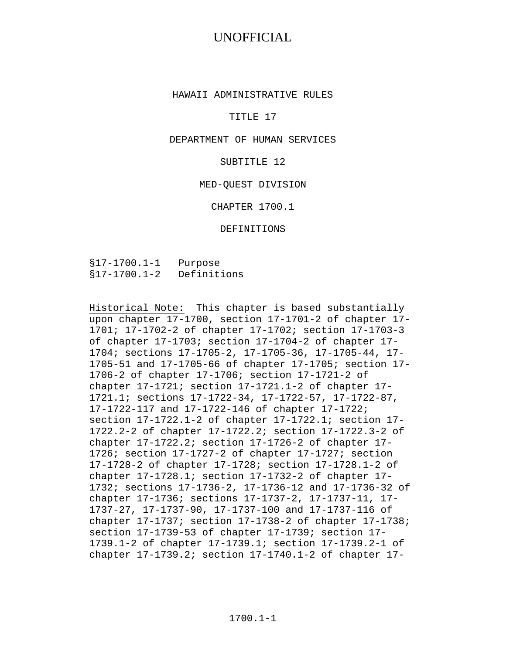#### HAWAII ADMINISTRATIVE RULES

#### TITLE 17

#### DEPARTMENT OF HUMAN SERVICES

#### SUBTITLE 12

#### MED-QUEST DIVISION

#### CHAPTER 1700.1

#### DEFINITIONS

§17-1700.1-1 Purpose §17-1700.1-2 Definitions

Historical Note: This chapter is based substantially upon chapter 17-1700, section 17-1701-2 of chapter 17- 1701; 17-1702-2 of chapter 17-1702; section 17-1703-3 of chapter 17-1703; section 17-1704-2 of chapter 17- 1704; sections 17-1705-2, 17-1705-36, 17-1705-44, 17- 1705-51 and 17-1705-66 of chapter 17-1705; section 17- 1706-2 of chapter 17-1706; section 17-1721-2 of chapter 17-1721; section 17-1721.1-2 of chapter 17- 1721.1; sections 17-1722-34, 17-1722-57, 17-1722-87, 17-1722-117 and 17-1722-146 of chapter 17-1722; section 17-1722.1-2 of chapter 17-1722.1; section 17- 1722.2-2 of chapter 17-1722.2; section 17-1722.3-2 of chapter 17-1722.2; section 17-1726-2 of chapter 17- 1726; section 17-1727-2 of chapter 17-1727; section 17-1728-2 of chapter 17-1728; section 17-1728.1-2 of chapter 17-1728.1; section 17-1732-2 of chapter 17- 1732; sections 17-1736-2, 17-1736-12 and 17-1736-32 of chapter 17-1736; sections 17-1737-2, 17-1737-11, 17- 1737-27, 17-1737-90, 17-1737-100 and 17-1737-116 of chapter 17-1737; section 17-1738-2 of chapter 17-1738; section 17-1739-53 of chapter 17-1739; section 17- 1739.1-2 of chapter 17-1739.1; section 17-1739.2-1 of chapter 17-1739.2; section 17-1740.1-2 of chapter 17-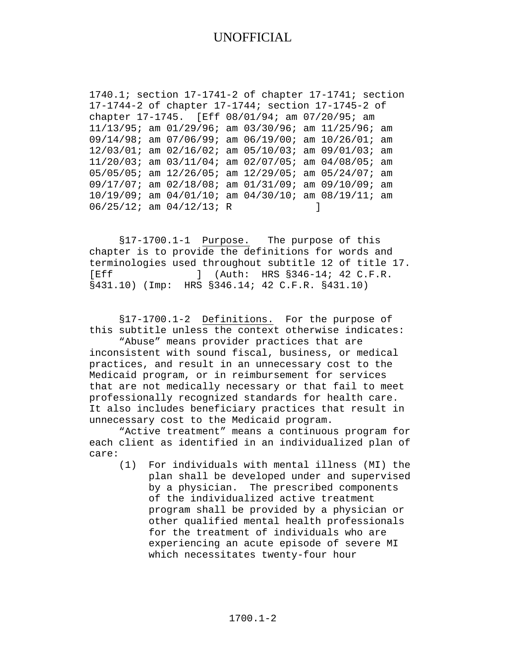1740.1; section 17-1741-2 of chapter 17-1741; section 17-1744-2 of chapter 17-1744; section 17-1745-2 of chapter 17-1745. [Eff 08/01/94; am 07/20/95; am 11/13/95; am 01/29/96; am 03/30/96; am 11/25/96; am 09/14/98; am 07/06/99; am 06/19/00; am 10/26/01; am 12/03/01; am 02/16/02; am 05/10/03; am 09/01/03; am 11/20/03; am 03/11/04; am 02/07/05; am 04/08/05; am 05/05/05; am 12/26/05; am 12/29/05; am 05/24/07; am 09/17/07; am 02/18/08; am 01/31/09; am 09/10/09; am 10/19/09; am 04/01/10; am 04/30/10; am 08/19/11; am  $06/25/12$ ; am  $04/12/13$ ; R ]

§17-1700.1-1 Purpose. The purpose of this chapter is to provide the definitions for words and terminologies used throughout subtitle 12 of title 17. [Eff ] (Auth: HRS §346-14; 42 C.F.R. §431.10) (Imp: HRS §346.14; 42 C.F.R. §431.10)

§17-1700.1-2 Definitions. For the purpose of this subtitle unless the context otherwise indicates:

"Abuse" means provider practices that are inconsistent with sound fiscal, business, or medical practices, and result in an unnecessary cost to the Medicaid program, or in reimbursement for services that are not medically necessary or that fail to meet professionally recognized standards for health care. It also includes beneficiary practices that result in unnecessary cost to the Medicaid program.

"Active treatment" means a continuous program for each client as identified in an individualized plan of care:

(1) For individuals with mental illness (MI) the plan shall be developed under and supervised by a physician. The prescribed components of the individualized active treatment program shall be provided by a physician or other qualified mental health professionals for the treatment of individuals who are experiencing an acute episode of severe MI which necessitates twenty-four hour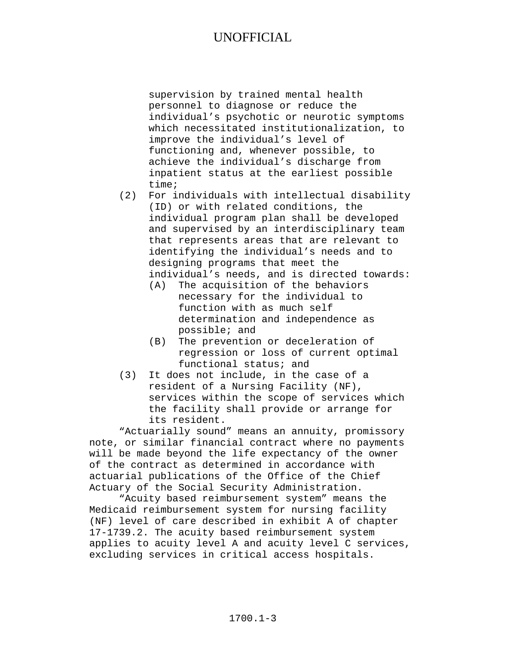supervision by trained mental health personnel to diagnose or reduce the individual's psychotic or neurotic symptoms which necessitated institutionalization, to improve the individual's level of functioning and, whenever possible, to achieve the individual's discharge from inpatient status at the earliest possible time;

- (2) For individuals with intellectual disability (ID) or with related conditions, the individual program plan shall be developed and supervised by an interdisciplinary team that represents areas that are relevant to identifying the individual's needs and to designing programs that meet the individual's needs, and is directed towards:
	- (A) The acquisition of the behaviors necessary for the individual to function with as much self determination and independence as possible; and
	- (B) The prevention or deceleration of regression or loss of current optimal functional status; and
- (3) It does not include, in the case of a resident of a Nursing Facility (NF), services within the scope of services which the facility shall provide or arrange for its resident.

"Actuarially sound" means an annuity, promissory note, or similar financial contract where no payments will be made beyond the life expectancy of the owner of the contract as determined in accordance with actuarial publications of the Office of the Chief Actuary of the Social Security Administration.

"Acuity based reimbursement system" means the Medicaid reimbursement system for nursing facility (NF) level of care described in exhibit A of chapter 17-1739.2. The acuity based reimbursement system applies to acuity level A and acuity level C services, excluding services in critical access hospitals.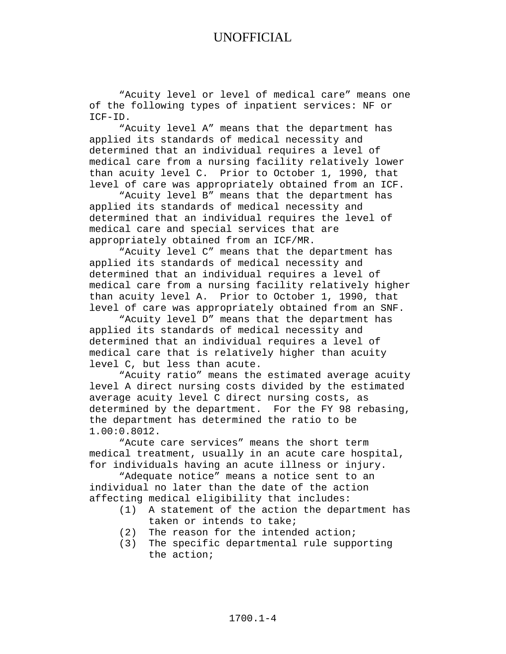"Acuity level or level of medical care" means one of the following types of inpatient services: NF or ICF-ID.

"Acuity level A" means that the department has applied its standards of medical necessity and determined that an individual requires a level of medical care from a nursing facility relatively lower than acuity level C. Prior to October 1, 1990, that level of care was appropriately obtained from an ICF.

"Acuity level B" means that the department has applied its standards of medical necessity and determined that an individual requires the level of medical care and special services that are appropriately obtained from an ICF/MR.

"Acuity level C" means that the department has applied its standards of medical necessity and determined that an individual requires a level of medical care from a nursing facility relatively higher than acuity level A. Prior to October 1, 1990, that level of care was appropriately obtained from an SNF.

"Acuity level D" means that the department has applied its standards of medical necessity and determined that an individual requires a level of medical care that is relatively higher than acuity level C, but less than acute.

"Acuity ratio" means the estimated average acuity level A direct nursing costs divided by the estimated average acuity level C direct nursing costs, as determined by the department. For the FY 98 rebasing, the department has determined the ratio to be 1.00:0.8012.

"Acute care services" means the short term medical treatment, usually in an acute care hospital, for individuals having an acute illness or injury.

"Adequate notice" means a notice sent to an individual no later than the date of the action affecting medical eligibility that includes:

- (1) A statement of the action the department has taken or intends to take;
- (2) The reason for the intended action;
- (3) The specific departmental rule supporting the action;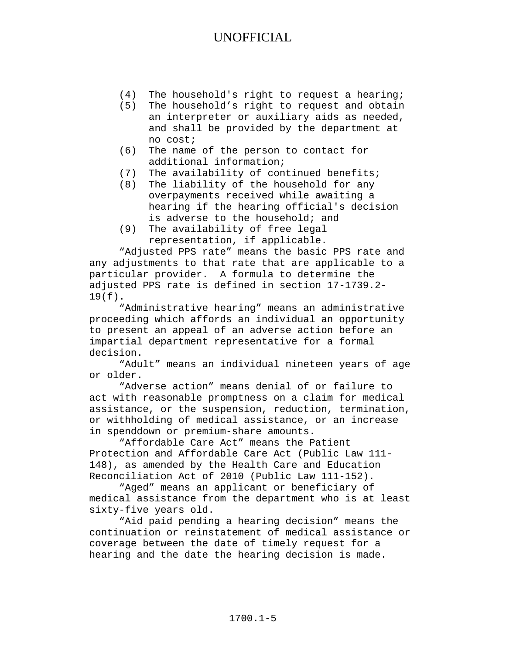- (4) The household's right to request a hearing;<br>(5) The household's right to request and obtain
- The household's right to request and obtain an interpreter or auxiliary aids as needed, and shall be provided by the department at no cost;
- (6) The name of the person to contact for additional information;
- (7) The availability of continued benefits;
- (8) The liability of the household for any overpayments received while awaiting a hearing if the hearing official's decision is adverse to the household; and
- (9) The availability of free legal representation, if applicable.

"Adjusted PPS rate" means the basic PPS rate and any adjustments to that rate that are applicable to a particular provider. A formula to determine the adjusted PPS rate is defined in section 17-1739.2- 19(f).

"Administrative hearing" means an administrative proceeding which affords an individual an opportunity to present an appeal of an adverse action before an impartial department representative for a formal decision.

"Adult" means an individual nineteen years of age or older.

"Adverse action" means denial of or failure to act with reasonable promptness on a claim for medical assistance, or the suspension, reduction, termination, or withholding of medical assistance, or an increase in spenddown or premium-share amounts.

"Affordable Care Act" means the Patient Protection and Affordable Care Act (Public Law 111- 148), as amended by the Health Care and Education Reconciliation Act of 2010 (Public Law 111-152).

"Aged" means an applicant or beneficiary of medical assistance from the department who is at least sixty-five years old.

"Aid paid pending a hearing decision" means the continuation or reinstatement of medical assistance or coverage between the date of timely request for a hearing and the date the hearing decision is made.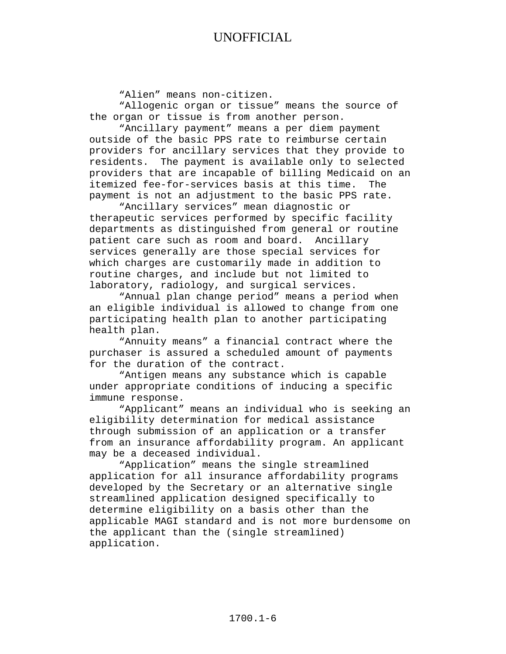"Alien" means non-citizen.

"Allogenic organ or tissue" means the source of the organ or tissue is from another person.

"Ancillary payment" means a per diem payment outside of the basic PPS rate to reimburse certain providers for ancillary services that they provide to residents. The payment is available only to selected providers that are incapable of billing Medicaid on an itemized fee-for-services basis at this time. The payment is not an adjustment to the basic PPS rate.

"Ancillary services" mean diagnostic or therapeutic services performed by specific facility departments as distinguished from general or routine patient care such as room and board. Ancillary services generally are those special services for which charges are customarily made in addition to routine charges, and include but not limited to laboratory, radiology, and surgical services.

"Annual plan change period" means a period when an eligible individual is allowed to change from one participating health plan to another participating health plan.

"Annuity means" a financial contract where the purchaser is assured a scheduled amount of payments for the duration of the contract.

"Antigen means any substance which is capable under appropriate conditions of inducing a specific immune response.

"Applicant" means an individual who is seeking an eligibility determination for medical assistance through submission of an application or a transfer from an insurance affordability program. An applicant may be a deceased individual.

"Application" means the single streamlined application for all insurance affordability programs developed by the Secretary or an alternative single streamlined application designed specifically to determine eligibility on a basis other than the applicable MAGI standard and is not more burdensome on the applicant than the (single streamlined) application.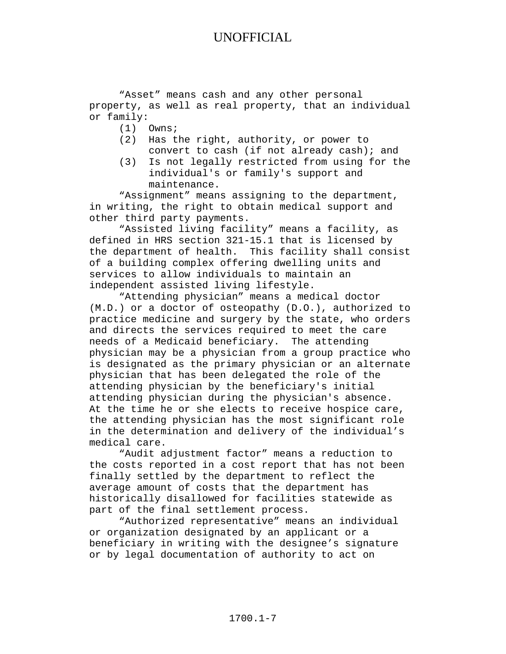"Asset" means cash and any other personal property, as well as real property, that an individual or family:<br>(1)

- (1) Owns;
- (2) Has the right, authority, or power to convert to cash (if not already cash); and
- (3) Is not legally restricted from using for the individual's or family's support and maintenance.

"Assignment" means assigning to the department, in writing, the right to obtain medical support and other third party payments.

"Assisted living facility" means a facility, as defined in HRS section 321-15.1 that is licensed by the department of health. This facility shall consist of a building complex offering dwelling units and services to allow individuals to maintain an independent assisted living lifestyle.

"Attending physician" means a medical doctor (M.D.) or a doctor of osteopathy (D.O.), authorized to practice medicine and surgery by the state, who orders and directs the services required to meet the care needs of a Medicaid beneficiary. The attending physician may be a physician from a group practice who is designated as the primary physician or an alternate physician that has been delegated the role of the attending physician by the beneficiary's initial attending physician during the physician's absence. At the time he or she elects to receive hospice care, the attending physician has the most significant role in the determination and delivery of the individual's medical care.

"Audit adjustment factor" means a reduction to the costs reported in a cost report that has not been finally settled by the department to reflect the average amount of costs that the department has historically disallowed for facilities statewide as part of the final settlement process.

"Authorized representative" means an individual or organization designated by an applicant or a beneficiary in writing with the designee's signature or by legal documentation of authority to act on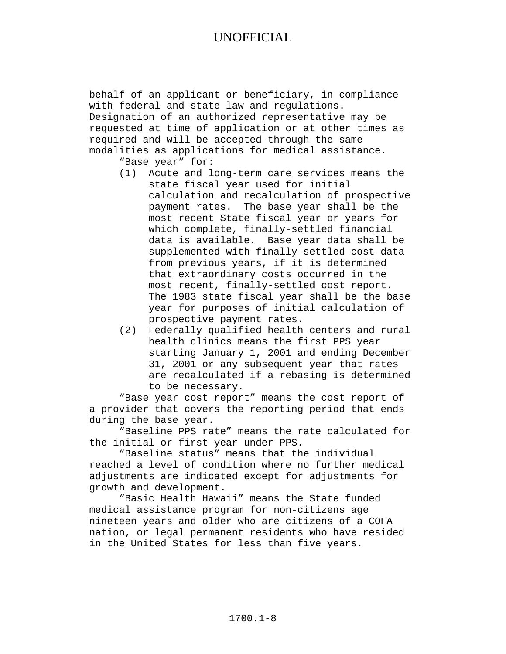behalf of an applicant or beneficiary, in compliance with federal and state law and regulations. Designation of an authorized representative may be requested at time of application or at other times as required and will be accepted through the same modalities as applications for medical assistance.

"Base year" for:

- (1) Acute and long-term care services means the state fiscal year used for initial calculation and recalculation of prospective payment rates. The base year shall be the most recent State fiscal year or years for which complete, finally-settled financial data is available. Base year data shall be supplemented with finally-settled cost data from previous years, if it is determined that extraordinary costs occurred in the most recent, finally-settled cost report. The 1983 state fiscal year shall be the base year for purposes of initial calculation of prospective payment rates.
- (2) Federally qualified health centers and rural health clinics means the first PPS year starting January 1, 2001 and ending December 31, 2001 or any subsequent year that rates are recalculated if a rebasing is determined to be necessary.

"Base year cost report" means the cost report of a provider that covers the reporting period that ends during the base year.

"Baseline PPS rate" means the rate calculated for the initial or first year under PPS.

"Baseline status" means that the individual reached a level of condition where no further medical adjustments are indicated except for adjustments for growth and development.

"Basic Health Hawaii" means the State funded medical assistance program for non-citizens age nineteen years and older who are citizens of a COFA nation, or legal permanent residents who have resided in the United States for less than five years.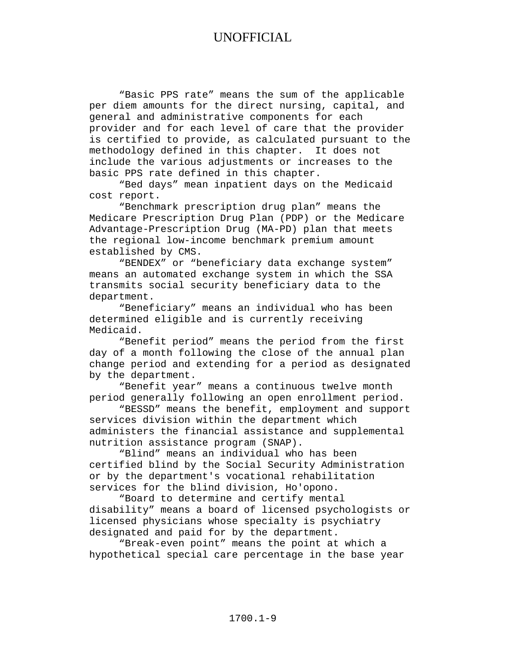"Basic PPS rate" means the sum of the applicable per diem amounts for the direct nursing, capital, and general and administrative components for each provider and for each level of care that the provider is certified to provide, as calculated pursuant to the methodology defined in this chapter. It does not include the various adjustments or increases to the basic PPS rate defined in this chapter.

"Bed days" mean inpatient days on the Medicaid cost report.

"Benchmark prescription drug plan" means the Medicare Prescription Drug Plan (PDP) or the Medicare Advantage-Prescription Drug (MA-PD) plan that meets the regional low-income benchmark premium amount established by CMS.

"BENDEX" or "beneficiary data exchange system" means an automated exchange system in which the SSA transmits social security beneficiary data to the department.

"Beneficiary" means an individual who has been determined eligible and is currently receiving Medicaid.

"Benefit period" means the period from the first day of a month following the close of the annual plan change period and extending for a period as designated by the department.

"Benefit year" means a continuous twelve month period generally following an open enrollment period.

"BESSD" means the benefit, employment and support services division within the department which administers the financial assistance and supplemental nutrition assistance program (SNAP).

"Blind" means an individual who has been certified blind by the Social Security Administration or by the department's vocational rehabilitation services for the blind division, Ho'opono.

"Board to determine and certify mental disability" means a board of licensed psychologists or licensed physicians whose specialty is psychiatry designated and paid for by the department.

"Break-even point" means the point at which a hypothetical special care percentage in the base year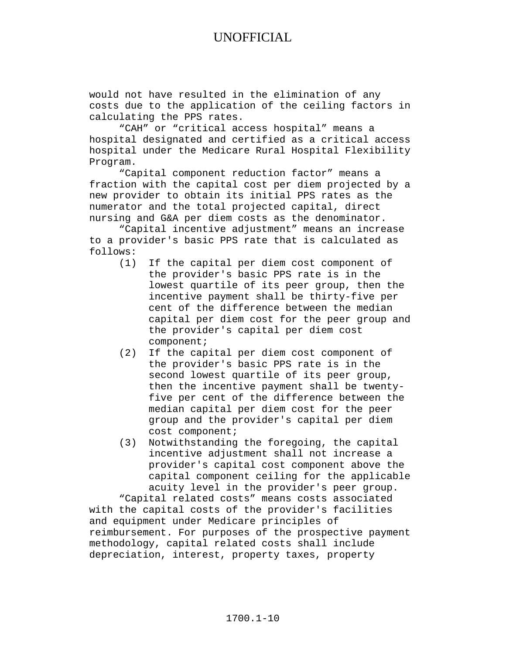would not have resulted in the elimination of any costs due to the application of the ceiling factors in calculating the PPS rates.

"CAH" or "critical access hospital" means a hospital designated and certified as a critical access hospital under the Medicare Rural Hospital Flexibility Program.

"Capital component reduction factor" means a fraction with the capital cost per diem projected by a new provider to obtain its initial PPS rates as the numerator and the total projected capital, direct nursing and G&A per diem costs as the denominator.

"Capital incentive adjustment" means an increase to a provider's basic PPS rate that is calculated as follows:

- (1) If the capital per diem cost component of the provider's basic PPS rate is in the lowest quartile of its peer group, then the incentive payment shall be thirty-five per cent of the difference between the median capital per diem cost for the peer group and the provider's capital per diem cost component;
- (2) If the capital per diem cost component of the provider's basic PPS rate is in the second lowest quartile of its peer group, then the incentive payment shall be twentyfive per cent of the difference between the median capital per diem cost for the peer group and the provider's capital per diem cost component;
- (3) Notwithstanding the foregoing, the capital incentive adjustment shall not increase a provider's capital cost component above the capital component ceiling for the applicable acuity level in the provider's peer group.

"Capital related costs" means costs associated with the capital costs of the provider's facilities and equipment under Medicare principles of reimbursement. For purposes of the prospective payment methodology, capital related costs shall include depreciation, interest, property taxes, property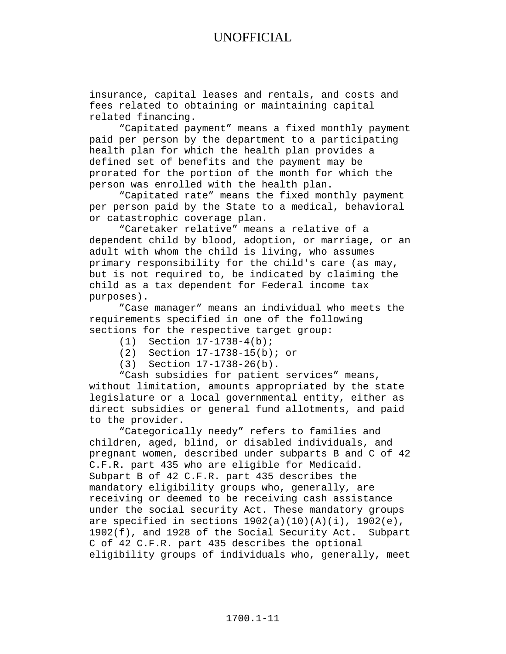insurance, capital leases and rentals, and costs and fees related to obtaining or maintaining capital related financing.

"Capitated payment" means a fixed monthly payment paid per person by the department to a participating health plan for which the health plan provides a defined set of benefits and the payment may be prorated for the portion of the month for which the person was enrolled with the health plan.

"Capitated rate" means the fixed monthly payment per person paid by the State to a medical, behavioral or catastrophic coverage plan.

"Caretaker relative" means a relative of a dependent child by blood, adoption, or marriage, or an adult with whom the child is living, who assumes primary responsibility for the child's care (as may, but is not required to, be indicated by claiming the child as a tax dependent for Federal income tax purposes).

"Case manager" means an individual who meets the requirements specified in one of the following sections for the respective target group:<br>(1) Section  $17-1738-4(b)$ ;

- Section 17-1738-4(b);
- (2) Section 17-1738-15(b); or
- (3) Section 17-1738-26(b).

"Cash subsidies for patient services" means, without limitation, amounts appropriated by the state legislature or a local governmental entity, either as direct subsidies or general fund allotments, and paid to the provider.

"Categorically needy" refers to families and children, aged, blind, or disabled individuals, and pregnant women, described under subparts B and C of 42 C.F.R. part 435 who are eligible for Medicaid. Subpart B of 42 C.F.R. part 435 describes the mandatory eligibility groups who, generally, are receiving or deemed to be receiving cash assistance under the social security Act. These mandatory groups are specified in sections  $1902(a)(10)(A)(i)$ ,  $1902(e)$ , 1902(f), and 1928 of the Social Security Act. Subpart C of 42 C.F.R. part 435 describes the optional eligibility groups of individuals who, generally, meet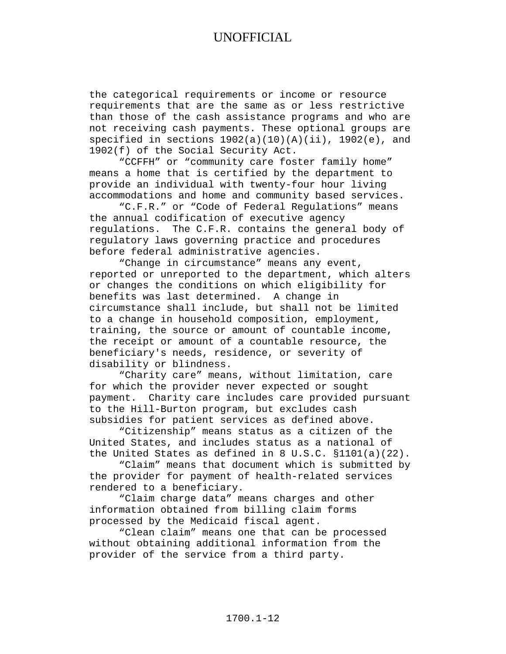the categorical requirements or income or resource requirements that are the same as or less restrictive than those of the cash assistance programs and who are not receiving cash payments. These optional groups are specified in sections  $1902(a)(10)(A)(ii)$ ,  $1902(e)$ , and 1902(f) of the Social Security Act.

"CCFFH" or "community care foster family home" means a home that is certified by the department to provide an individual with twenty-four hour living accommodations and home and community based services.

"C.F.R." or "Code of Federal Regulations" means the annual codification of executive agency regulations. The C.F.R. contains the general body of regulatory laws governing practice and procedures before federal administrative agencies.

"Change in circumstance" means any event, reported or unreported to the department, which alters or changes the conditions on which eligibility for benefits was last determined. A change in circumstance shall include, but shall not be limited to a change in household composition, employment, training, the source or amount of countable income, the receipt or amount of a countable resource, the beneficiary's needs, residence, or severity of disability or blindness.

"Charity care" means, without limitation, care for which the provider never expected or sought payment. Charity care includes care provided pursuant to the Hill-Burton program, but excludes cash subsidies for patient services as defined above.

"Citizenship" means status as a citizen of the United States, and includes status as a national of the United States as defined in 8 U.S.C. §1101(a)(22).

"Claim" means that document which is submitted by the provider for payment of health-related services rendered to a beneficiary.

"Claim charge data" means charges and other information obtained from billing claim forms processed by the Medicaid fiscal agent.

"Clean claim" means one that can be processed without obtaining additional information from the provider of the service from a third party.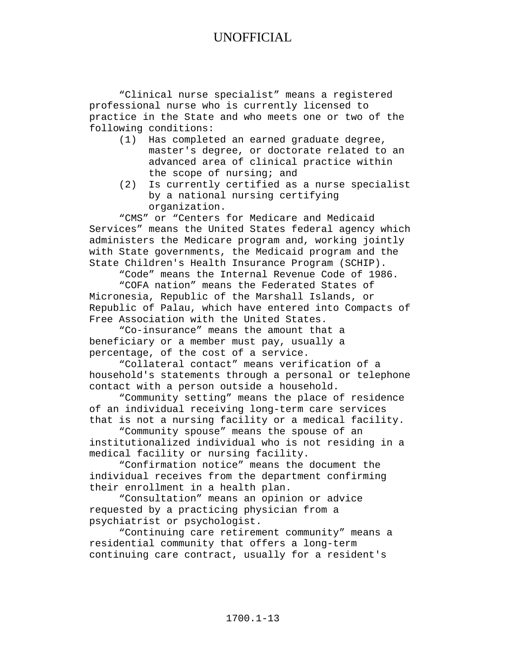"Clinical nurse specialist" means a registered professional nurse who is currently licensed to practice in the State and who meets one or two of the following conditions:

- (1) Has completed an earned graduate degree, master's degree, or doctorate related to an advanced area of clinical practice within the scope of nursing; and
- (2) Is currently certified as a nurse specialist by a national nursing certifying organization.

"CMS" or "Centers for Medicare and Medicaid Services" means the United States federal agency which administers the Medicare program and, working jointly with State governments, the Medicaid program and the State Children's Health Insurance Program (SCHIP).

"Code" means the Internal Revenue Code of 1986.

"COFA nation" means the Federated States of Micronesia, Republic of the Marshall Islands, or Republic of Palau, which have entered into Compacts of Free Association with the United States.

"Co-insurance" means the amount that a beneficiary or a member must pay, usually a percentage, of the cost of a service.

"Collateral contact" means verification of a household's statements through a personal or telephone contact with a person outside a household.

"Community setting" means the place of residence of an individual receiving long-term care services that is not a nursing facility or a medical facility.

"Community spouse" means the spouse of an institutionalized individual who is not residing in a medical facility or nursing facility.

"Confirmation notice" means the document the individual receives from the department confirming their enrollment in a health plan.

"Consultation" means an opinion or advice requested by a practicing physician from a psychiatrist or psychologist.

"Continuing care retirement community" means a residential community that offers a long-term continuing care contract, usually for a resident's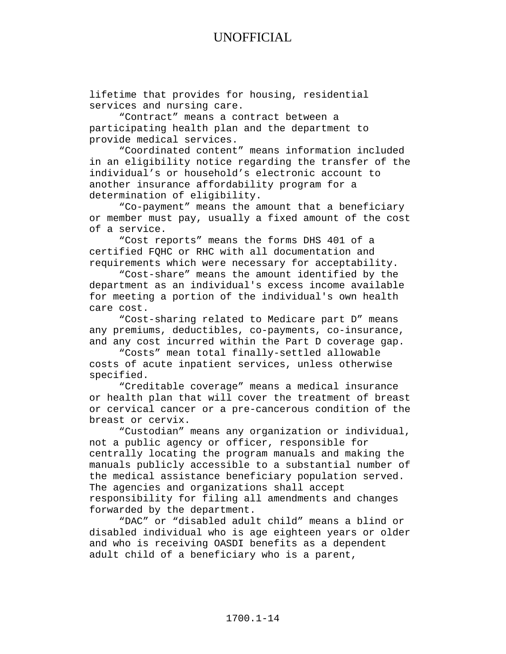lifetime that provides for housing, residential services and nursing care.

"Contract" means a contract between a participating health plan and the department to provide medical services.

"Coordinated content" means information included in an eligibility notice regarding the transfer of the individual's or household's electronic account to another insurance affordability program for a determination of eligibility.

"Co-payment" means the amount that a beneficiary or member must pay, usually a fixed amount of the cost of a service.

"Cost reports" means the forms DHS 401 of a certified FQHC or RHC with all documentation and requirements which were necessary for acceptability.

"Cost-share" means the amount identified by the department as an individual's excess income available for meeting a portion of the individual's own health care cost.

"Cost-sharing related to Medicare part D" means any premiums, deductibles, co-payments, co-insurance, and any cost incurred within the Part D coverage gap.

"Costs" mean total finally-settled allowable costs of acute inpatient services, unless otherwise specified.

"Creditable coverage" means a medical insurance or health plan that will cover the treatment of breast or cervical cancer or a pre-cancerous condition of the breast or cervix.

"Custodian" means any organization or individual, not a public agency or officer, responsible for centrally locating the program manuals and making the manuals publicly accessible to a substantial number of the medical assistance beneficiary population served. The agencies and organizations shall accept responsibility for filing all amendments and changes forwarded by the department.

"DAC" or "disabled adult child" means a blind or disabled individual who is age eighteen years or older and who is receiving OASDI benefits as a dependent adult child of a beneficiary who is a parent,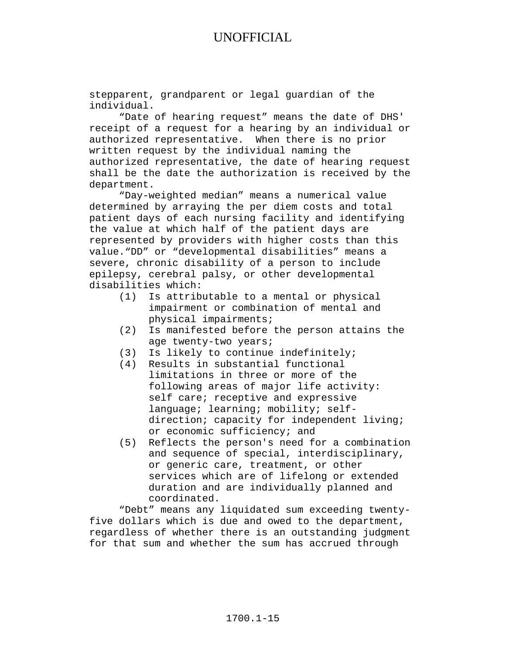stepparent, grandparent or legal guardian of the individual.

"Date of hearing request" means the date of DHS' receipt of a request for a hearing by an individual or authorized representative. When there is no prior written request by the individual naming the authorized representative, the date of hearing request shall be the date the authorization is received by the department.

"Day-weighted median" means a numerical value determined by arraying the per diem costs and total patient days of each nursing facility and identifying the value at which half of the patient days are represented by providers with higher costs than this value."DD" or "developmental disabilities" means a severe, chronic disability of a person to include epilepsy, cerebral palsy, or other developmental disabilities which:

- (1) Is attributable to a mental or physical impairment or combination of mental and physical impairments;
- (2) Is manifested before the person attains the age twenty-two years;
- (3) Is likely to continue indefinitely;
- (4) Results in substantial functional limitations in three or more of the following areas of major life activity: self care; receptive and expressive language; learning; mobility; selfdirection; capacity for independent living; or economic sufficiency; and
- (5) Reflects the person's need for a combination and sequence of special, interdisciplinary, or generic care, treatment, or other services which are of lifelong or extended duration and are individually planned and coordinated.

"Debt" means any liquidated sum exceeding twentyfive dollars which is due and owed to the department, regardless of whether there is an outstanding judgment for that sum and whether the sum has accrued through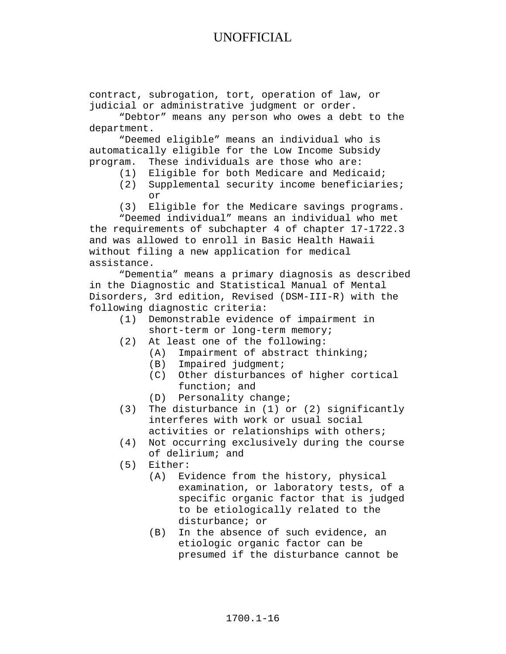contract, subrogation, tort, operation of law, or judicial or administrative judgment or order.

"Debtor" means any person who owes a debt to the department.

"Deemed eligible" means an individual who is automatically eligible for the Low Income Subsidy program. These individuals are those who are:

- (1) Eligible for both Medicare and Medicaid;
- (2) Supplemental security income beneficiaries; or
- (3) Eligible for the Medicare savings programs.

"Deemed individual" means an individual who met the requirements of subchapter 4 of chapter 17-1722.3 and was allowed to enroll in Basic Health Hawaii without filing a new application for medical assistance.

"Dementia" means a primary diagnosis as described in the Diagnostic and Statistical Manual of Mental Disorders, 3rd edition, Revised (DSM-III-R) with the following diagnostic criteria:

- (1) Demonstrable evidence of impairment in short-term or long-term memory;
- (2) At least one of the following:
	- (A) Impairment of abstract thinking;
	- (B) Impaired judgment;
	- (C) Other disturbances of higher cortical function; and
	- (D) Personality change;
- (3) The disturbance in (1) or (2) significantly interferes with work or usual social activities or relationships with others;
- (4) Not occurring exclusively during the course of delirium; and
- (5) Either:<br>(A) Ev
	- Evidence from the history, physical examination, or laboratory tests, of a specific organic factor that is judged to be etiologically related to the disturbance; or
	- (B) In the absence of such evidence, an etiologic organic factor can be presumed if the disturbance cannot be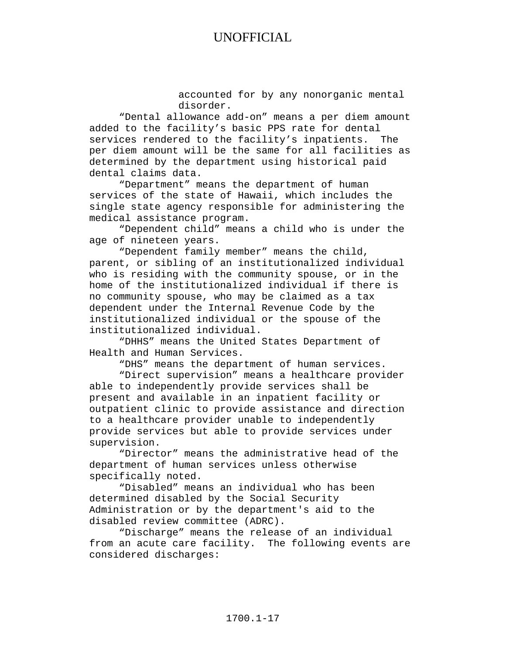accounted for by any nonorganic mental disorder.

"Dental allowance add-on" means a per diem amount added to the facility's basic PPS rate for dental services rendered to the facility's inpatients. The per diem amount will be the same for all facilities as determined by the department using historical paid dental claims data.

"Department" means the department of human services of the state of Hawaii, which includes the single state agency responsible for administering the medical assistance program.

"Dependent child" means a child who is under the age of nineteen years.

"Dependent family member" means the child, parent, or sibling of an institutionalized individual who is residing with the community spouse, or in the home of the institutionalized individual if there is no community spouse, who may be claimed as a tax dependent under the Internal Revenue Code by the institutionalized individual or the spouse of the institutionalized individual.

"DHHS" means the United States Department of Health and Human Services.

"DHS" means the department of human services.

"Direct supervision" means a healthcare provider able to independently provide services shall be present and available in an inpatient facility or outpatient clinic to provide assistance and direction to a healthcare provider unable to independently provide services but able to provide services under supervision.

"Director" means the administrative head of the department of human services unless otherwise specifically noted.

"Disabled" means an individual who has been determined disabled by the Social Security Administration or by the department's aid to the disabled review committee (ADRC).

"Discharge" means the release of an individual from an acute care facility. The following events are considered discharges: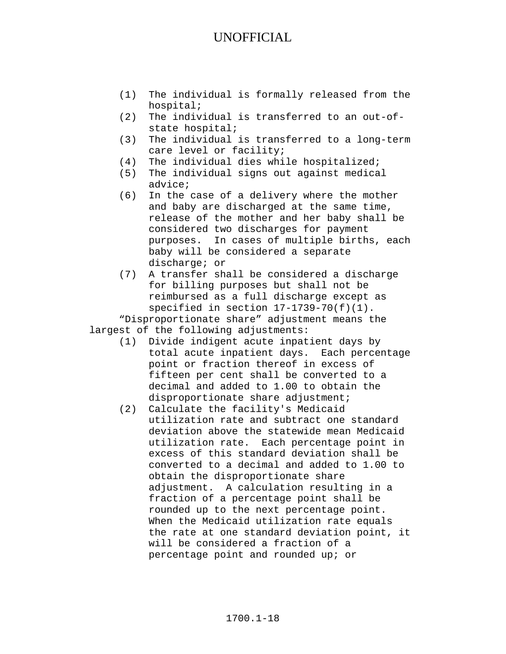- (1) The individual is formally released from the hospital;
- (2) The individual is transferred to an out-ofstate hospital;
- (3) The individual is transferred to a long-term care level or facility;
- (4) The individual dies while hospitalized;
- (5) The individual signs out against medical advice;
- (6) In the case of a delivery where the mother and baby are discharged at the same time, release of the mother and her baby shall be considered two discharges for payment purposes. In cases of multiple births, each baby will be considered a separate discharge; or
- (7) A transfer shall be considered a discharge for billing purposes but shall not be reimbursed as a full discharge except as specified in section  $17-1739-70(f)(1)$ .

"Disproportionate share" adjustment means the largest of the following adjustments:

- (1) Divide indigent acute inpatient days by total acute inpatient days. Each percentage point or fraction thereof in excess of fifteen per cent shall be converted to a decimal and added to 1.00 to obtain the disproportionate share adjustment;
- (2) Calculate the facility's Medicaid utilization rate and subtract one standard deviation above the statewide mean Medicaid utilization rate. Each percentage point in excess of this standard deviation shall be converted to a decimal and added to 1.00 to obtain the disproportionate share adjustment. A calculation resulting in a fraction of a percentage point shall be rounded up to the next percentage point. When the Medicaid utilization rate equals the rate at one standard deviation point, it will be considered a fraction of a percentage point and rounded up; or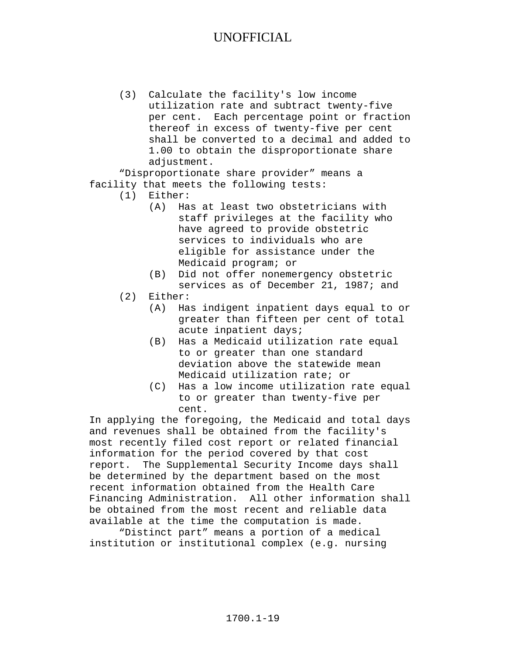(3) Calculate the facility's low income utilization rate and subtract twenty-five per cent. Each percentage point or fraction thereof in excess of twenty-five per cent shall be converted to a decimal and added to 1.00 to obtain the disproportionate share adjustment.

"Disproportionate share provider" means a facility that meets the following tests:<br>(1) Either:

- Either:
	- (A) Has at least two obstetricians with staff privileges at the facility who have agreed to provide obstetric services to individuals who are eligible for assistance under the Medicaid program; or
	- (B) Did not offer nonemergency obstetric services as of December 21, 1987; and
- (2) Either:<br>(A) Ha
	- Has indigent inpatient days equal to or greater than fifteen per cent of total acute inpatient days;
	- (B) Has a Medicaid utilization rate equal to or greater than one standard deviation above the statewide mean Medicaid utilization rate; or
	- (C) Has a low income utilization rate equal to or greater than twenty-five per cent.

In applying the foregoing, the Medicaid and total days and revenues shall be obtained from the facility's most recently filed cost report or related financial information for the period covered by that cost report. The Supplemental Security Income days shall be determined by the department based on the most recent information obtained from the Health Care Financing Administration. All other information shall be obtained from the most recent and reliable data available at the time the computation is made.

"Distinct part" means a portion of a medical institution or institutional complex (e.g. nursing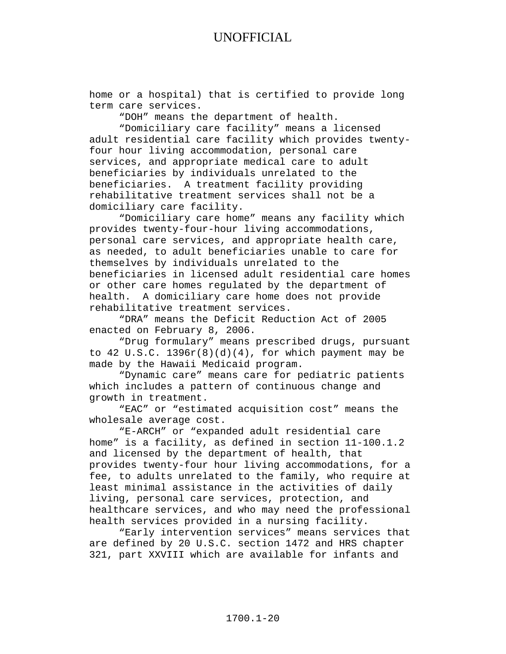home or a hospital) that is certified to provide long term care services.

"DOH" means the department of health.

"Domiciliary care facility" means a licensed adult residential care facility which provides twentyfour hour living accommodation, personal care services, and appropriate medical care to adult beneficiaries by individuals unrelated to the beneficiaries. A treatment facility providing rehabilitative treatment services shall not be a domiciliary care facility.

"Domiciliary care home" means any facility which provides twenty-four-hour living accommodations, personal care services, and appropriate health care, as needed, to adult beneficiaries unable to care for themselves by individuals unrelated to the beneficiaries in licensed adult residential care homes or other care homes regulated by the department of health. A domiciliary care home does not provide rehabilitative treatment services.

"DRA" means the Deficit Reduction Act of 2005 enacted on February 8, 2006.

"Drug formulary" means prescribed drugs, pursuant to  $42 \text{ U.S.C. } 1396r(8)(d)(4)$ , for which payment may be made by the Hawaii Medicaid program.

"Dynamic care" means care for pediatric patients which includes a pattern of continuous change and growth in treatment.

"EAC" or "estimated acquisition cost" means the wholesale average cost.

"E-ARCH" or "expanded adult residential care home" is a facility, as defined in section 11-100.1.2 and licensed by the department of health, that provides twenty-four hour living accommodations, for a fee, to adults unrelated to the family, who require at least minimal assistance in the activities of daily living, personal care services, protection, and healthcare services, and who may need the professional health services provided in a nursing facility.

"Early intervention services" means services that are defined by 20 U.S.C. section 1472 and HRS chapter 321, part XXVIII which are available for infants and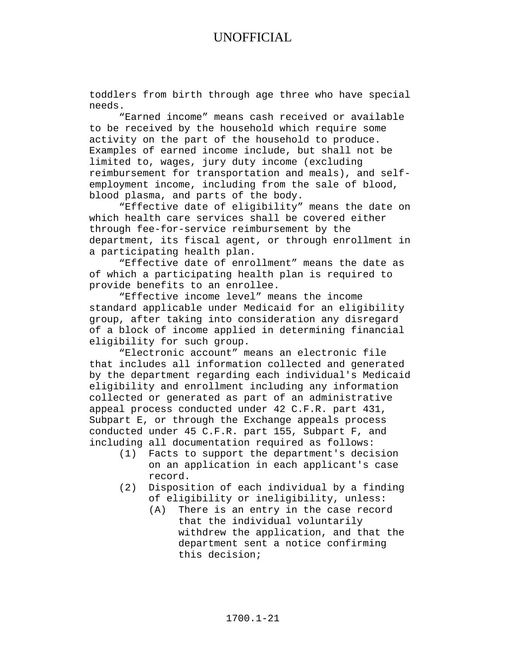toddlers from birth through age three who have special needs.

"Earned income" means cash received or available to be received by the household which require some activity on the part of the household to produce. Examples of earned income include, but shall not be limited to, wages, jury duty income (excluding reimbursement for transportation and meals), and selfemployment income, including from the sale of blood, blood plasma, and parts of the body.

"Effective date of eligibility" means the date on which health care services shall be covered either through fee-for-service reimbursement by the department, its fiscal agent, or through enrollment in a participating health plan.

"Effective date of enrollment" means the date as of which a participating health plan is required to provide benefits to an enrollee.

"Effective income level" means the income standard applicable under Medicaid for an eligibility group, after taking into consideration any disregard of a block of income applied in determining financial eligibility for such group.

"Electronic account" means an electronic file that includes all information collected and generated by the department regarding each individual's Medicaid eligibility and enrollment including any information collected or generated as part of an administrative appeal process conducted under 42 C.F.R. part 431, Subpart E, or through the Exchange appeals process conducted under 45 C.F.R. part 155, Subpart F, and including all documentation required as follows:<br>(1) Facts to support the department's deci

- Facts to support the department's decision on an application in each applicant's case record.
- (2) Disposition of each individual by a finding of eligibility or ineligibility, unless:<br>(A) There is an entry in the case recor
	- There is an entry in the case record that the individual voluntarily withdrew the application, and that the department sent a notice confirming this decision;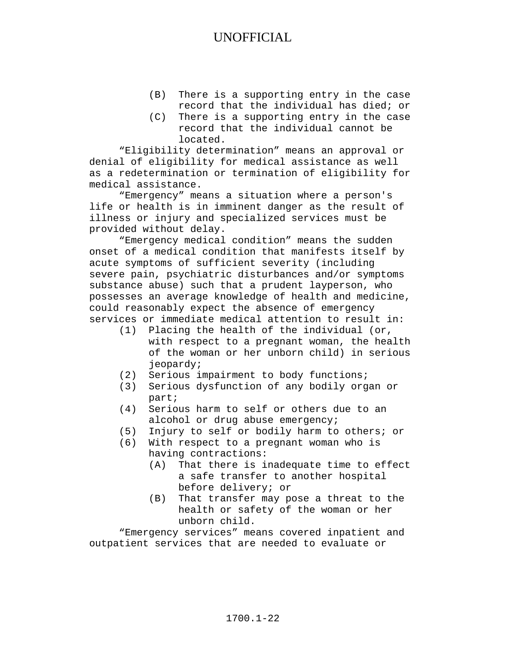- (B) There is a supporting entry in the case record that the individual has died; or
- (C) There is a supporting entry in the case record that the individual cannot be located.

"Eligibility determination" means an approval or denial of eligibility for medical assistance as well as a redetermination or termination of eligibility for medical assistance.

"Emergency" means a situation where a person's life or health is in imminent danger as the result of illness or injury and specialized services must be provided without delay.

"Emergency medical condition" means the sudden onset of a medical condition that manifests itself by acute symptoms of sufficient severity (including severe pain, psychiatric disturbances and/or symptoms substance abuse) such that a prudent layperson, who possesses an average knowledge of health and medicine, could reasonably expect the absence of emergency services or immediate medical attention to result in:

- (1) Placing the health of the individual (or, with respect to a pregnant woman, the health of the woman or her unborn child) in serious jeopardy;
- (2) Serious impairment to body functions;
- (3) Serious dysfunction of any bodily organ or part;
- (4) Serious harm to self or others due to an alcohol or drug abuse emergency;
- (5) Injury to self or bodily harm to others; or
- (6) With respect to a pregnant woman who is having contractions:<br>(A) That there is i
	- That there is inadequate time to effect a safe transfer to another hospital before delivery; or
	- (B) That transfer may pose a threat to the health or safety of the woman or her unborn child.

"Emergency services" means covered inpatient and outpatient services that are needed to evaluate or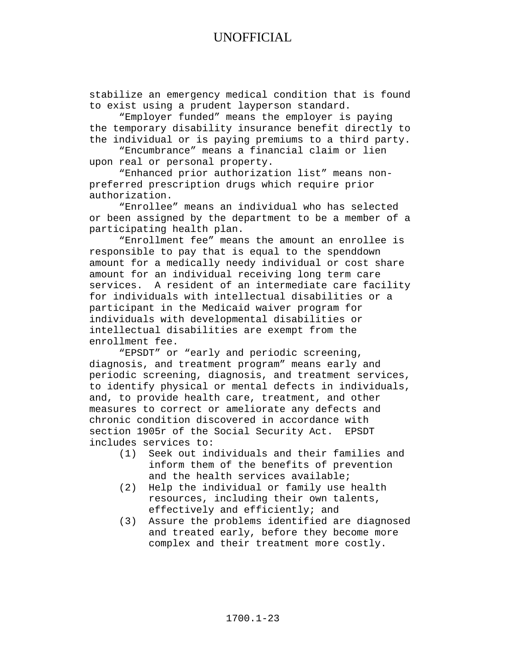stabilize an emergency medical condition that is found to exist using a prudent layperson standard.

"Employer funded" means the employer is paying the temporary disability insurance benefit directly to the individual or is paying premiums to a third party.

"Encumbrance" means a financial claim or lien upon real or personal property.

"Enhanced prior authorization list" means nonpreferred prescription drugs which require prior authorization.

"Enrollee" means an individual who has selected or been assigned by the department to be a member of a participating health plan.

"Enrollment fee" means the amount an enrollee is responsible to pay that is equal to the spenddown amount for a medically needy individual or cost share amount for an individual receiving long term care services. A resident of an intermediate care facility for individuals with intellectual disabilities or a participant in the Medicaid waiver program for individuals with developmental disabilities or intellectual disabilities are exempt from the enrollment fee.

"EPSDT" or "early and periodic screening, diagnosis, and treatment program" means early and periodic screening, diagnosis, and treatment services, to identify physical or mental defects in individuals, and, to provide health care, treatment, and other measures to correct or ameliorate any defects and chronic condition discovered in accordance with<br>section 1905r of the Social Security Act. EPSDT section 1905r of the Social Security Act. includes services to:<br>(1) Seek out in

- Seek out individuals and their families and inform them of the benefits of prevention and the health services available;
- (2) Help the individual or family use health resources, including their own talents, effectively and efficiently; and
- (3) Assure the problems identified are diagnosed and treated early, before they become more complex and their treatment more costly.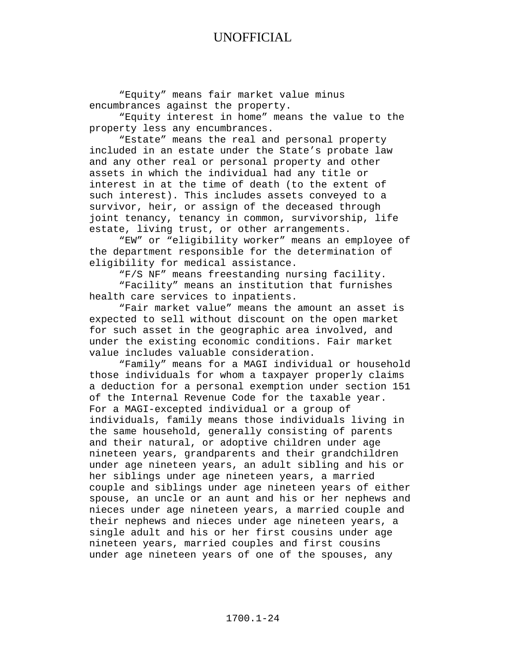"Equity" means fair market value minus encumbrances against the property.

"Equity interest in home" means the value to the property less any encumbrances.

"Estate" means the real and personal property included in an estate under the State's probate law and any other real or personal property and other assets in which the individual had any title or interest in at the time of death (to the extent of such interest). This includes assets conveyed to a survivor, heir, or assign of the deceased through joint tenancy, tenancy in common, survivorship, life estate, living trust, or other arrangements.

"EW" or "eligibility worker" means an employee of the department responsible for the determination of eligibility for medical assistance.

"F/S NF" means freestanding nursing facility.

"Facility" means an institution that furnishes health care services to inpatients.

"Fair market value" means the amount an asset is expected to sell without discount on the open market for such asset in the geographic area involved, and under the existing economic conditions. Fair market value includes valuable consideration.

"Family" means for a MAGI individual or household those individuals for whom a taxpayer properly claims a deduction for a personal exemption under section 151 of the Internal Revenue Code for the taxable year. For a MAGI-excepted individual or a group of individuals, family means those individuals living in the same household, generally consisting of parents and their natural, or adoptive children under age nineteen years, grandparents and their grandchildren under age nineteen years, an adult sibling and his or her siblings under age nineteen years, a married couple and siblings under age nineteen years of either spouse, an uncle or an aunt and his or her nephews and nieces under age nineteen years, a married couple and their nephews and nieces under age nineteen years, a single adult and his or her first cousins under age nineteen years, married couples and first cousins under age nineteen years of one of the spouses, any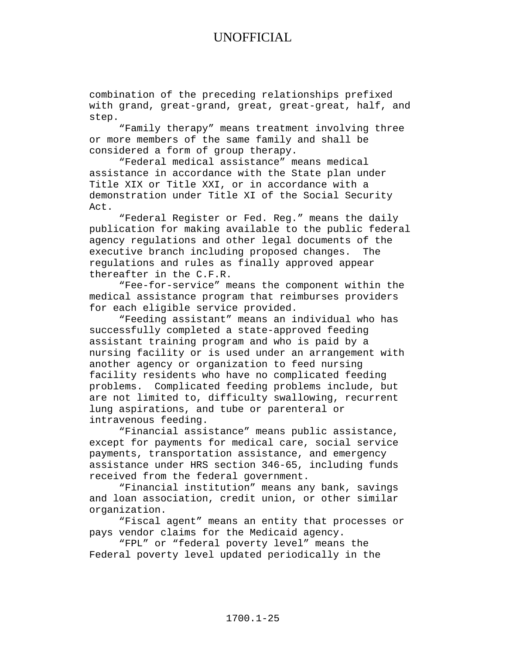combination of the preceding relationships prefixed with grand, great-grand, great, great-great, half, and step.

"Family therapy" means treatment involving three or more members of the same family and shall be considered a form of group therapy.

"Federal medical assistance" means medical assistance in accordance with the State plan under Title XIX or Title XXI, or in accordance with a demonstration under Title XI of the Social Security Act.

"Federal Register or Fed. Reg." means the daily publication for making available to the public federal agency regulations and other legal documents of the executive branch including proposed changes. The regulations and rules as finally approved appear thereafter in the C.F.R.

"Fee-for-service" means the component within the medical assistance program that reimburses providers for each eligible service provided.

"Feeding assistant" means an individual who has successfully completed a state-approved feeding assistant training program and who is paid by a nursing facility or is used under an arrangement with another agency or organization to feed nursing facility residents who have no complicated feeding problems. Complicated feeding problems include, but are not limited to, difficulty swallowing, recurrent lung aspirations, and tube or parenteral or intravenous feeding.

"Financial assistance" means public assistance, except for payments for medical care, social service payments, transportation assistance, and emergency assistance under HRS section 346-65, including funds received from the federal government.

"Financial institution" means any bank, savings and loan association, credit union, or other similar organization.

"Fiscal agent" means an entity that processes or pays vendor claims for the Medicaid agency.

"FPL" or "federal poverty level" means the Federal poverty level updated periodically in the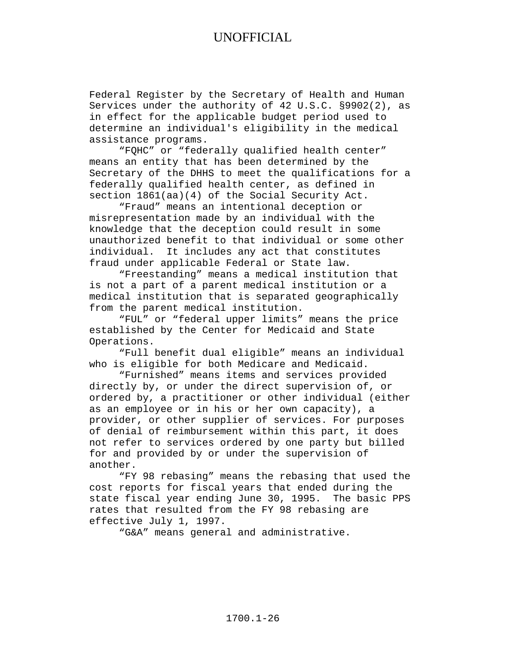Federal Register by the Secretary of Health and Human Services under the authority of 42 U.S.C. §9902(2), as in effect for the applicable budget period used to determine an individual's eligibility in the medical assistance programs.

"FQHC" or "federally qualified health center" means an entity that has been determined by the Secretary of the DHHS to meet the qualifications for a federally qualified health center, as defined in section 1861(aa)(4) of the Social Security Act.

"Fraud" means an intentional deception or misrepresentation made by an individual with the knowledge that the deception could result in some unauthorized benefit to that individual or some other individual. It includes any act that constitutes fraud under applicable Federal or State law.

"Freestanding" means a medical institution that is not a part of a parent medical institution or a medical institution that is separated geographically from the parent medical institution.

"FUL" or "federal upper limits" means the price established by the Center for Medicaid and State Operations.

"Full benefit dual eligible" means an individual who is eligible for both Medicare and Medicaid.

"Furnished" means items and services provided directly by, or under the direct supervision of, or ordered by, a practitioner or other individual (either as an employee or in his or her own capacity), a provider, or other supplier of services. For purposes of denial of reimbursement within this part, it does not refer to services ordered by one party but billed for and provided by or under the supervision of another.

"FY 98 rebasing" means the rebasing that used the cost reports for fiscal years that ended during the state fiscal year ending June 30, 1995. The basic PPS rates that resulted from the FY 98 rebasing are effective July 1, 1997.

"G&A" means general and administrative.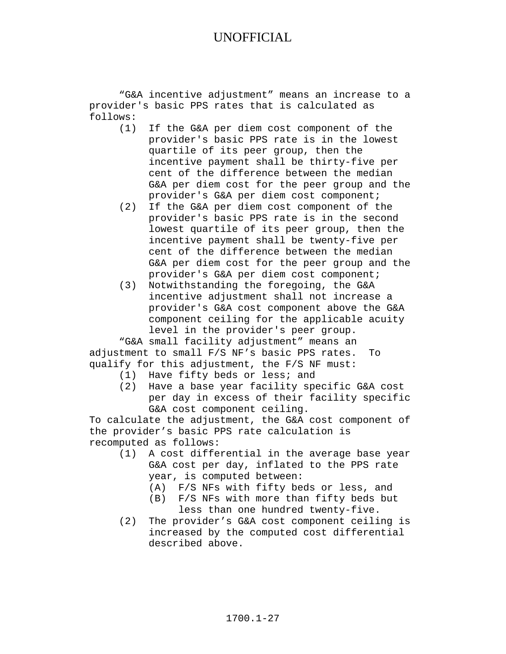"G&A incentive adjustment" means an increase to a provider's basic PPS rates that is calculated as follows:

- If the G&A per diem cost component of the provider's basic PPS rate is in the lowest quartile of its peer group, then the incentive payment shall be thirty-five per cent of the difference between the median G&A per diem cost for the peer group and the provider's G&A per diem cost component;
- (2) If the G&A per diem cost component of the provider's basic PPS rate is in the second lowest quartile of its peer group, then the incentive payment shall be twenty-five per cent of the difference between the median G&A per diem cost for the peer group and the provider's G&A per diem cost component;
- (3) Notwithstanding the foregoing, the G&A incentive adjustment shall not increase a provider's G&A cost component above the G&A component ceiling for the applicable acuity level in the provider's peer group.

"G&A small facility adjustment" means an adjustment to small F/S NF's basic PPS rates. To qualify for this adjustment, the F/S NF must:

- (1) Have fifty beds or less; and
- (2) Have a base year facility specific G&A cost per day in excess of their facility specific G&A cost component ceiling.

To calculate the adjustment, the G&A cost component of the provider's basic PPS rate calculation is recomputed as follows:<br>(1) A cost different

- A cost differential in the average base year G&A cost per day, inflated to the PPS rate year, is computed between:
	- (A) F/S NFs with fifty beds or less, and
	- (B) F/S NFs with more than fifty beds but less than one hundred twenty-five.
- (2) The provider's G&A cost component ceiling is increased by the computed cost differential described above.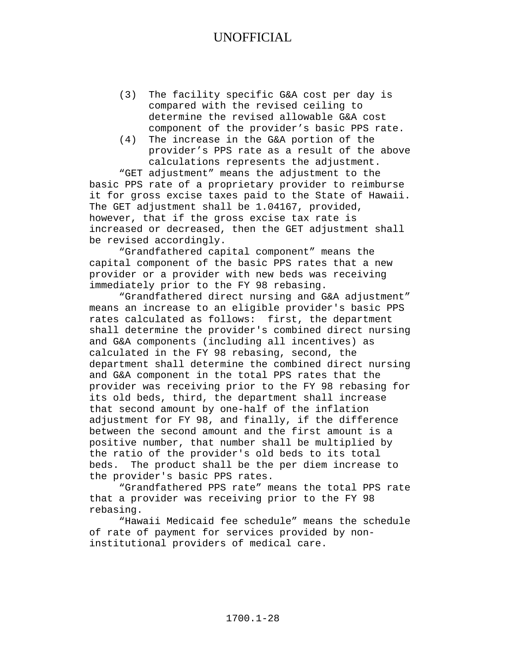- (3) The facility specific G&A cost per day is compared with the revised ceiling to determine the revised allowable G&A cost component of the provider's basic PPS rate.
- (4) The increase in the G&A portion of the provider's PPS rate as a result of the above calculations represents the adjustment.

"GET adjustment" means the adjustment to the basic PPS rate of a proprietary provider to reimburse it for gross excise taxes paid to the State of Hawaii. The GET adjustment shall be 1.04167, provided, however, that if the gross excise tax rate is increased or decreased, then the GET adjustment shall be revised accordingly.

"Grandfathered capital component" means the capital component of the basic PPS rates that a new provider or a provider with new beds was receiving immediately prior to the FY 98 rebasing.

"Grandfathered direct nursing and G&A adjustment" means an increase to an eligible provider's basic PPS rates calculated as follows: first, the department shall determine the provider's combined direct nursing and G&A components (including all incentives) as calculated in the FY 98 rebasing, second, the department shall determine the combined direct nursing and G&A component in the total PPS rates that the provider was receiving prior to the FY 98 rebasing for its old beds, third, the department shall increase that second amount by one-half of the inflation adjustment for FY 98, and finally, if the difference between the second amount and the first amount is a positive number, that number shall be multiplied by the ratio of the provider's old beds to its total beds. The product shall be the per diem increase to the provider's basic PPS rates.

"Grandfathered PPS rate" means the total PPS rate that a provider was receiving prior to the FY 98 rebasing.

"Hawaii Medicaid fee schedule" means the schedule of rate of payment for services provided by noninstitutional providers of medical care.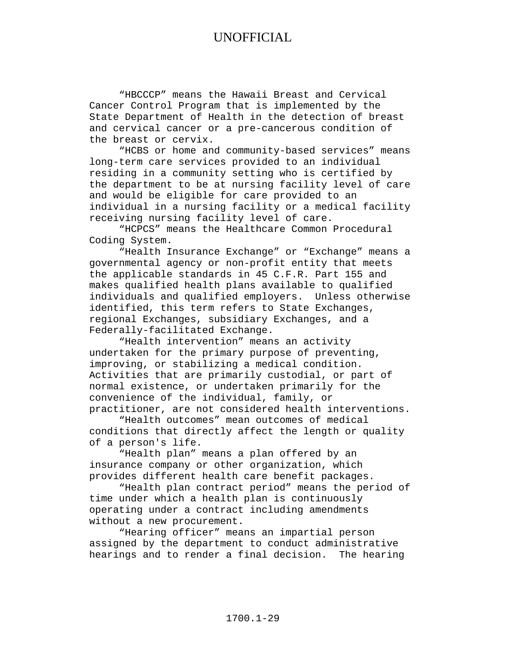"HBCCCP" means the Hawaii Breast and Cervical Cancer Control Program that is implemented by the State Department of Health in the detection of breast and cervical cancer or a pre-cancerous condition of the breast or cervix.

"HCBS or home and community-based services" means long-term care services provided to an individual residing in a community setting who is certified by the department to be at nursing facility level of care and would be eligible for care provided to an individual in a nursing facility or a medical facility receiving nursing facility level of care.

"HCPCS" means the Healthcare Common Procedural Coding System.

"Health Insurance Exchange" or "Exchange" means a governmental agency or non-profit entity that meets the applicable standards in 45 C.F.R. Part 155 and makes qualified health plans available to qualified individuals and qualified employers. Unless otherwise identified, this term refers to State Exchanges, regional Exchanges, subsidiary Exchanges, and a Federally-facilitated Exchange.

"Health intervention" means an activity undertaken for the primary purpose of preventing, improving, or stabilizing a medical condition. Activities that are primarily custodial, or part of normal existence, or undertaken primarily for the convenience of the individual, family, or practitioner, are not considered health interventions.

"Health outcomes" mean outcomes of medical conditions that directly affect the length or quality of a person's life.

"Health plan" means a plan offered by an insurance company or other organization, which provides different health care benefit packages.

"Health plan contract period" means the period of time under which a health plan is continuously operating under a contract including amendments without a new procurement.

"Hearing officer" means an impartial person assigned by the department to conduct administrative hearings and to render a final decision. The hearing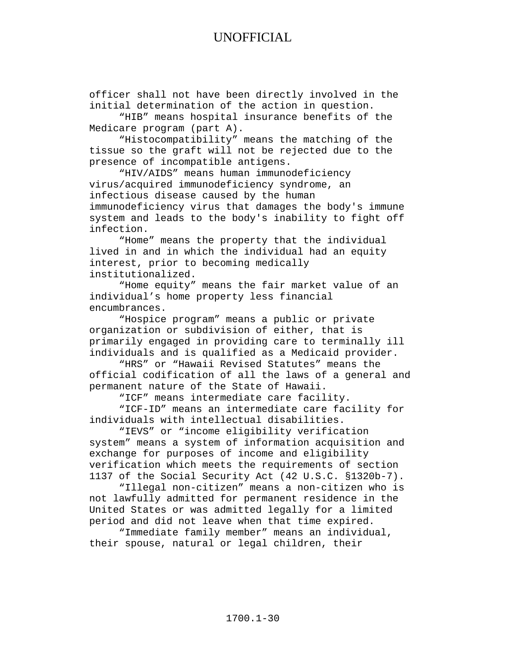officer shall not have been directly involved in the initial determination of the action in question.

"HIB" means hospital insurance benefits of the Medicare program (part A).

"Histocompatibility" means the matching of the tissue so the graft will not be rejected due to the presence of incompatible antigens.

"HIV/AIDS" means human immunodeficiency virus/acquired immunodeficiency syndrome, an infectious disease caused by the human immunodeficiency virus that damages the body's immune system and leads to the body's inability to fight off infection.

"Home" means the property that the individual lived in and in which the individual had an equity interest, prior to becoming medically institutionalized.

"Home equity" means the fair market value of an individual's home property less financial encumbrances.

"Hospice program" means a public or private organization or subdivision of either, that is primarily engaged in providing care to terminally ill individuals and is qualified as a Medicaid provider.

"HRS" or "Hawaii Revised Statutes" means the official codification of all the laws of a general and permanent nature of the State of Hawaii.

"ICF" means intermediate care facility.

"ICF-ID" means an intermediate care facility for individuals with intellectual disabilities.

"IEVS" or "income eligibility verification system" means a system of information acquisition and exchange for purposes of income and eligibility verification which meets the requirements of section 1137 of the Social Security Act (42 U.S.C. §1320b-7).

"Illegal non-citizen" means a non-citizen who is not lawfully admitted for permanent residence in the United States or was admitted legally for a limited period and did not leave when that time expired.

"Immediate family member" means an individual, their spouse, natural or legal children, their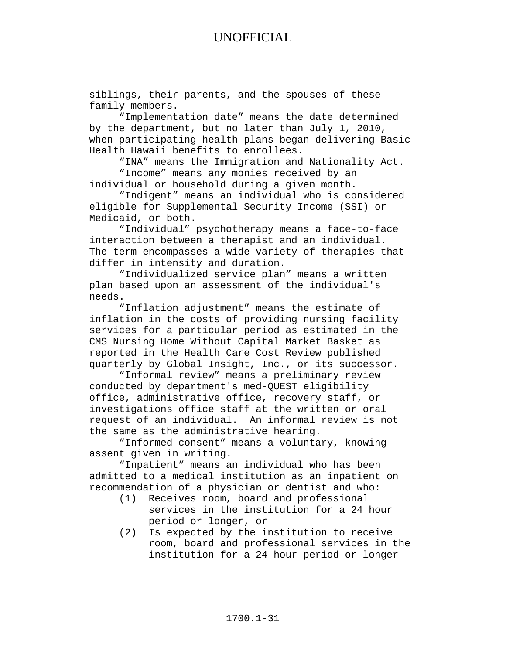siblings, their parents, and the spouses of these family members.

"Implementation date" means the date determined by the department, but no later than July 1, 2010, when participating health plans began delivering Basic Health Hawaii benefits to enrollees.

"INA" means the Immigration and Nationality Act. "Income" means any monies received by an individual or household during a given month.

"Indigent" means an individual who is considered eligible for Supplemental Security Income (SSI) or Medicaid, or both.

"Individual" psychotherapy means a face-to-face interaction between a therapist and an individual. The term encompasses a wide variety of therapies that differ in intensity and duration.

"Individualized service plan" means a written plan based upon an assessment of the individual's needs.

"Inflation adjustment" means the estimate of inflation in the costs of providing nursing facility services for a particular period as estimated in the CMS Nursing Home Without Capital Market Basket as reported in the Health Care Cost Review published quarterly by Global Insight, Inc., or its successor.

"Informal review" means a preliminary review conducted by department's med-QUEST eligibility office, administrative office, recovery staff, or investigations office staff at the written or oral request of an individual. An informal review is not the same as the administrative hearing.

"Informed consent" means a voluntary, knowing assent given in writing.

"Inpatient" means an individual who has been admitted to a medical institution as an inpatient on recommendation of a physician or dentist and who:

- Receives room, board and professional services in the institution for a 24 hour period or longer, or
- (2) Is expected by the institution to receive room, board and professional services in the institution for a 24 hour period or longer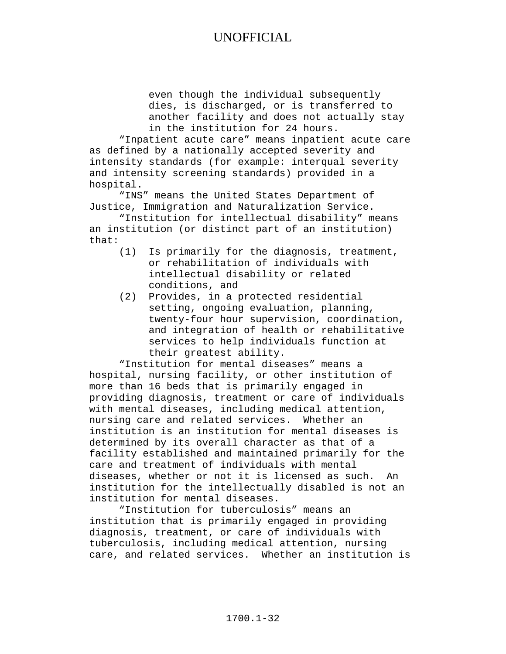even though the individual subsequently dies, is discharged, or is transferred to another facility and does not actually stay in the institution for 24 hours.

"Inpatient acute care" means inpatient acute care as defined by a nationally accepted severity and intensity standards (for example: interqual severity and intensity screening standards) provided in a hospital.

"INS" means the United States Department of Justice, Immigration and Naturalization Service.

"Institution for intellectual disability" means an institution (or distinct part of an institution) that:

- (1) Is primarily for the diagnosis, treatment, or rehabilitation of individuals with intellectual disability or related conditions, and
- (2) Provides, in a protected residential setting, ongoing evaluation, planning, twenty-four hour supervision, coordination, and integration of health or rehabilitative services to help individuals function at their greatest ability.

"Institution for mental diseases" means a hospital, nursing facility, or other institution of more than 16 beds that is primarily engaged in providing diagnosis, treatment or care of individuals with mental diseases, including medical attention, nursing care and related services. Whether an institution is an institution for mental diseases is determined by its overall character as that of a facility established and maintained primarily for the care and treatment of individuals with mental diseases, whether or not it is licensed as such. An institution for the intellectually disabled is not an institution for mental diseases.

"Institution for tuberculosis" means an institution that is primarily engaged in providing diagnosis, treatment, or care of individuals with tuberculosis, including medical attention, nursing care, and related services. Whether an institution is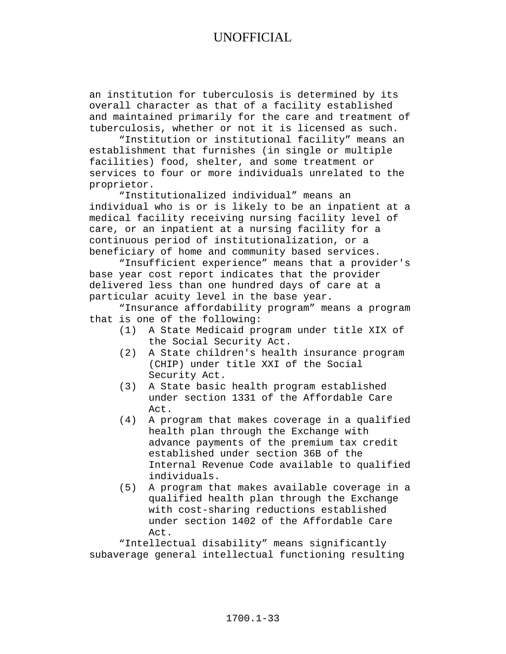an institution for tuberculosis is determined by its overall character as that of a facility established and maintained primarily for the care and treatment of tuberculosis, whether or not it is licensed as such.

"Institution or institutional facility" means an establishment that furnishes (in single or multiple facilities) food, shelter, and some treatment or services to four or more individuals unrelated to the proprietor.

"Institutionalized individual" means an individual who is or is likely to be an inpatient at a medical facility receiving nursing facility level of care, or an inpatient at a nursing facility for a continuous period of institutionalization, or a beneficiary of home and community based services.

"Insufficient experience" means that a provider's base year cost report indicates that the provider delivered less than one hundred days of care at a particular acuity level in the base year.

"Insurance affordability program" means a program that is one of the following:

- (1) A State Medicaid program under title XIX of the Social Security Act.
- (2) A State children's health insurance program (CHIP) under title XXI of the Social Security Act.
- (3) A State basic health program established under section 1331 of the Affordable Care Act.
- (4) A program that makes coverage in a qualified health plan through the Exchange with advance payments of the premium tax credit established under section 36B of the Internal Revenue Code available to qualified individuals.
- (5) A program that makes available coverage in a qualified health plan through the Exchange with cost-sharing reductions established under section 1402 of the Affordable Care Act.

"Intellectual disability" means significantly subaverage general intellectual functioning resulting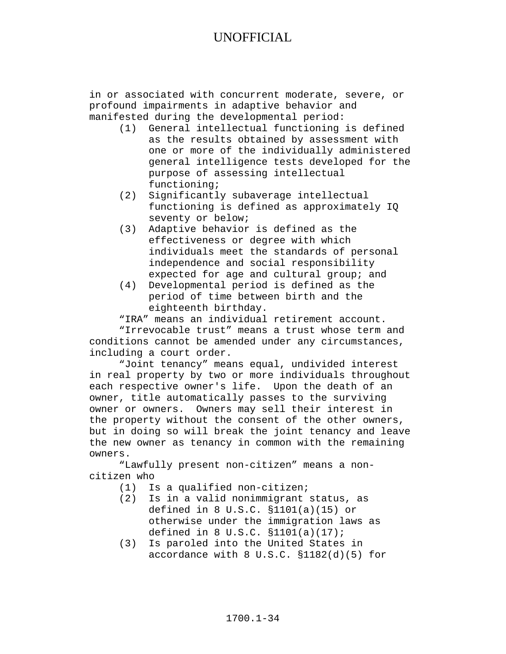in or associated with concurrent moderate, severe, or profound impairments in adaptive behavior and manifested during the developmental period:

- (1) General intellectual functioning is defined as the results obtained by assessment with one or more of the individually administered general intelligence tests developed for the purpose of assessing intellectual functioning;
- (2) Significantly subaverage intellectual functioning is defined as approximately IQ seventy or below;
- (3) Adaptive behavior is defined as the effectiveness or degree with which individuals meet the standards of personal independence and social responsibility expected for age and cultural group; and
- (4) Developmental period is defined as the period of time between birth and the eighteenth birthday.

"IRA" means an individual retirement account.

"Irrevocable trust" means a trust whose term and conditions cannot be amended under any circumstances, including a court order.

"Joint tenancy" means equal, undivided interest in real property by two or more individuals throughout each respective owner's life. Upon the death of an owner, title automatically passes to the surviving owner or owners. Owners may sell their interest in the property without the consent of the other owners, but in doing so will break the joint tenancy and leave the new owner as tenancy in common with the remaining owners.

"Lawfully present non-citizen" means a noncitizen who

- (1) Is a qualified non-citizen;<br>(2) Is in a valid nonimmigrant
- Is in a valid nonimmigrant status, as defined in 8 U.S.C. §1101(a)(15) or otherwise under the immigration laws as defined in 8 U.S.C. §1101(a)(17);
- (3) Is paroled into the United States in accordance with 8 U.S.C. §1182(d)(5) for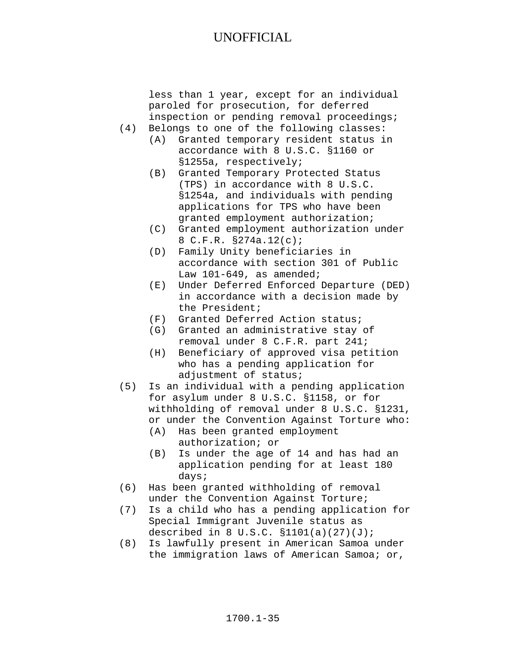less than 1 year, except for an individual paroled for prosecution, for deferred inspection or pending removal proceedings; (4) Belongs to one of the following classes: (A) Granted temporary resident status in accordance with 8 U.S.C. §1160 or §1255a, respectively; (B) Granted Temporary Protected Status (TPS) in accordance with 8 U.S.C. §1254a, and individuals with pending applications for TPS who have been granted employment authorization; (C) Granted employment authorization under 8 C.F.R. §274a.12(c); (D) Family Unity beneficiaries in accordance with section 301 of Public Law 101-649, as amended; (E) Under Deferred Enforced Departure (DED) in accordance with a decision made by the President; (F) Granted Deferred Action status; (G) Granted an administrative stay of removal under 8 C.F.R. part 241; (H) Beneficiary of approved visa petition who has a pending application for adjustment of status; (5) Is an individual with a pending application for asylum under 8 U.S.C. §1158, or for withholding of removal under 8 U.S.C. §1231, or under the Convention Against Torture who:<br>(A) Has been granted employment Has been granted employment authorization; or (B) Is under the age of 14 and has had an application pending for at least 180 days;

- (6) Has been granted withholding of removal under the Convention Against Torture;
- (7) Is a child who has a pending application for Special Immigrant Juvenile status as described in 8 U.S.C.  $$1101(a)(27)(J);$
- (8) Is lawfully present in American Samoa under the immigration laws of American Samoa; or,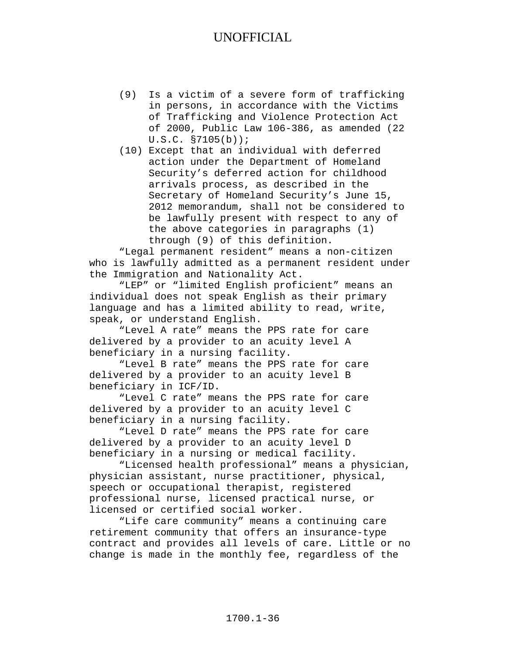- (9) Is a victim of a severe form of trafficking in persons, in accordance with the Victims of Trafficking and Violence Protection Act of 2000, Public Law 106-386, as amended (22 U.S.C. §7105(b));
- (10) Except that an individual with deferred action under the Department of Homeland Security's deferred action for childhood arrivals process, as described in the Secretary of Homeland Security's June 15, 2012 memorandum, shall not be considered to be lawfully present with respect to any of the above categories in paragraphs (1) through (9) of this definition.

"Legal permanent resident" means a non-citizen who is lawfully admitted as a permanent resident under the Immigration and Nationality Act.

"LEP" or "limited English proficient" means an individual does not speak English as their primary language and has a limited ability to read, write, speak, or understand English.

"Level A rate" means the PPS rate for care delivered by a provider to an acuity level A beneficiary in a nursing facility.

"Level B rate" means the PPS rate for care delivered by a provider to an acuity level B beneficiary in ICF/ID.

"Level C rate" means the PPS rate for care delivered by a provider to an acuity level C beneficiary in a nursing facility.

"Level D rate" means the PPS rate for care delivered by a provider to an acuity level D beneficiary in a nursing or medical facility.

"Licensed health professional" means a physician, physician assistant, nurse practitioner, physical, speech or occupational therapist, registered professional nurse, licensed practical nurse, or licensed or certified social worker.

"Life care community" means a continuing care retirement community that offers an insurance-type contract and provides all levels of care. Little or no change is made in the monthly fee, regardless of the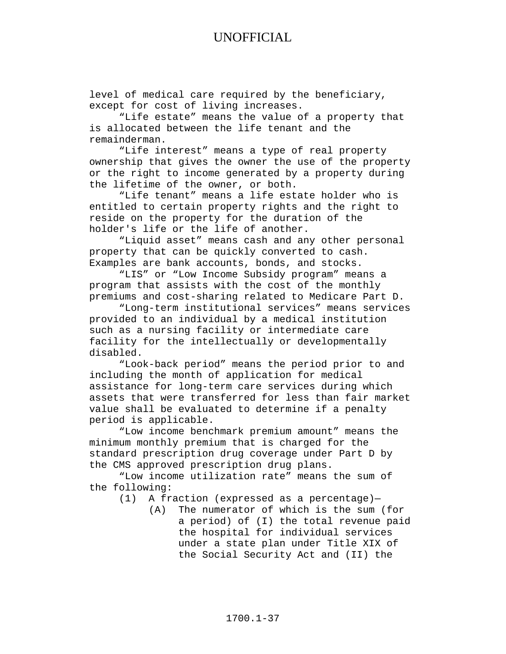level of medical care required by the beneficiary, except for cost of living increases.

"Life estate" means the value of a property that is allocated between the life tenant and the remainderman.

"Life interest" means a type of real property ownership that gives the owner the use of the property or the right to income generated by a property during the lifetime of the owner, or both.

"Life tenant" means a life estate holder who is entitled to certain property rights and the right to reside on the property for the duration of the holder's life or the life of another.

"Liquid asset" means cash and any other personal property that can be quickly converted to cash. Examples are bank accounts, bonds, and stocks.

"LIS" or "Low Income Subsidy program" means a program that assists with the cost of the monthly premiums and cost-sharing related to Medicare Part D.

"Long-term institutional services" means services provided to an individual by a medical institution such as a nursing facility or intermediate care facility for the intellectually or developmentally disabled.

"Look-back period" means the period prior to and including the month of application for medical assistance for long-term care services during which assets that were transferred for less than fair market value shall be evaluated to determine if a penalty period is applicable.

"Low income benchmark premium amount" means the minimum monthly premium that is charged for the standard prescription drug coverage under Part D by the CMS approved prescription drug plans.

"Low income utilization rate" means the sum of the following:<br>(1) A fr

- A fraction (expressed as a percentage)-<br>(A) The numerator of which is the sum
	- The numerator of which is the sum (for a period) of (I) the total revenue paid the hospital for individual services under a state plan under Title XIX of the Social Security Act and (II) the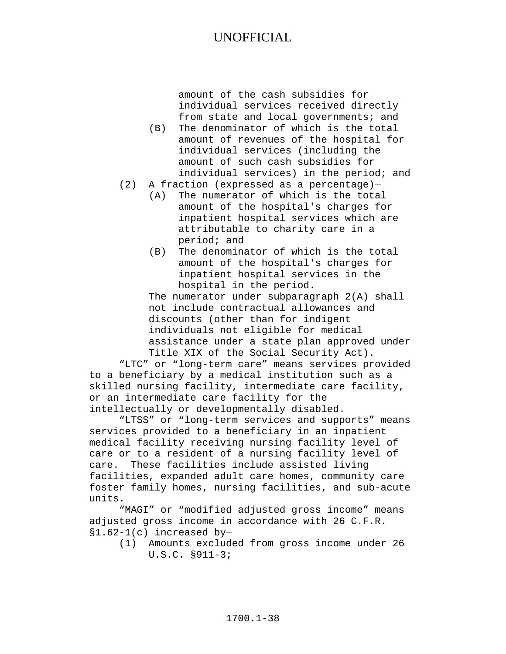amount of the cash subsidies for individual services received directly from state and local governments; and

- (B) The denominator of which is the total amount of revenues of the hospital for individual services (including the amount of such cash subsidies for individual services) in the period; and
- (2) A fraction (expressed as a percentage)—
	- (A) The numerator of which is the total amount of the hospital's charges for inpatient hospital services which are attributable to charity care in a period; and
	- (B) The denominator of which is the total amount of the hospital's charges for inpatient hospital services in the hospital in the period.

The numerator under subparagraph 2(A) shall not include contractual allowances and discounts (other than for indigent individuals not eligible for medical assistance under a state plan approved under Title XIX of the Social Security Act).

"LTC" or "long-term care" means services provided to a beneficiary by a medical institution such as a skilled nursing facility, intermediate care facility, or an intermediate care facility for the intellectually or developmentally disabled.

"LTSS" or "long-term services and supports" means services provided to a beneficiary in an inpatient medical facility receiving nursing facility level of care or to a resident of a nursing facility level of care. These facilities include assisted living facilities, expanded adult care homes, community care foster family homes, nursing facilities, and sub-acute units.

"MAGI" or "modified adjusted gross income" means adjusted gross income in accordance with 26 C.F.R. §1.62-1(c) increased by—

(1) Amounts excluded from gross income under 26 U.S.C. §911-3;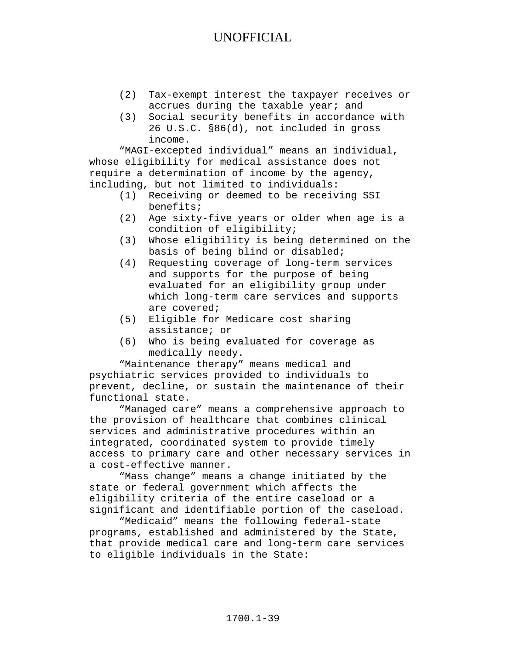- (2) Tax-exempt interest the taxpayer receives or accrues during the taxable year; and
- (3) Social security benefits in accordance with 26 U.S.C. §86(d), not included in gross income.

"MAGI-excepted individual" means an individual, whose eligibility for medical assistance does not require a determination of income by the agency, including, but not limited to individuals:

- (1) Receiving or deemed to be receiving SSI benefits;
- (2) Age sixty-five years or older when age is a condition of eligibility;
- (3) Whose eligibility is being determined on the basis of being blind or disabled;
- (4) Requesting coverage of long-term services and supports for the purpose of being evaluated for an eligibility group under which long-term care services and supports are covered;
- (5) Eligible for Medicare cost sharing assistance; or
- (6) Who is being evaluated for coverage as medically needy.

"Maintenance therapy" means medical and psychiatric services provided to individuals to prevent, decline, or sustain the maintenance of their functional state.

"Managed care" means a comprehensive approach to the provision of healthcare that combines clinical services and administrative procedures within an integrated, coordinated system to provide timely access to primary care and other necessary services in a cost-effective manner.

"Mass change" means a change initiated by the state or federal government which affects the eligibility criteria of the entire caseload or a significant and identifiable portion of the caseload.

"Medicaid" means the following federal-state programs, established and administered by the State, that provide medical care and long-term care services to eligible individuals in the State: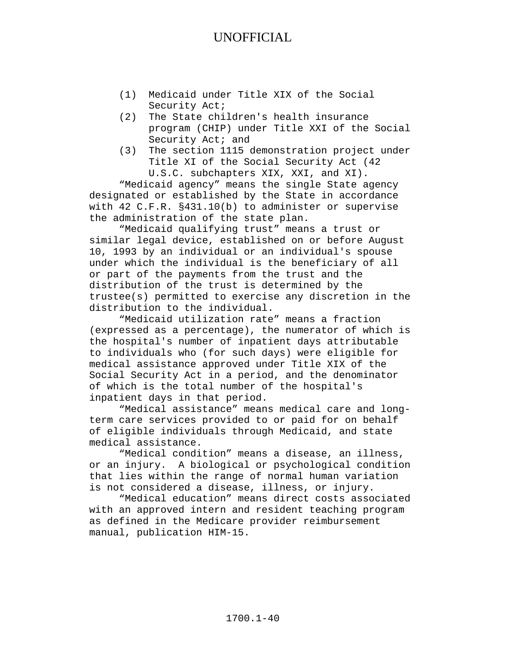- (1) Medicaid under Title XIX of the Social Security Act;
- (2) The State children's health insurance program (CHIP) under Title XXI of the Social Security Act; and
- (3) The section 1115 demonstration project under Title XI of the Social Security Act (42 U.S.C. subchapters XIX, XXI, and XI).

"Medicaid agency" means the single State agency designated or established by the State in accordance with 42 C.F.R. §431.10(b) to administer or supervise the administration of the state plan.

"Medicaid qualifying trust" means a trust or similar legal device, established on or before August 10, 1993 by an individual or an individual's spouse under which the individual is the beneficiary of all or part of the payments from the trust and the distribution of the trust is determined by the trustee(s) permitted to exercise any discretion in the distribution to the individual.

"Medicaid utilization rate" means a fraction (expressed as a percentage), the numerator of which is the hospital's number of inpatient days attributable to individuals who (for such days) were eligible for medical assistance approved under Title XIX of the Social Security Act in a period, and the denominator of which is the total number of the hospital's inpatient days in that period.

"Medical assistance" means medical care and longterm care services provided to or paid for on behalf of eligible individuals through Medicaid, and state medical assistance.

"Medical condition" means a disease, an illness, or an injury. A biological or psychological condition that lies within the range of normal human variation is not considered a disease, illness, or injury.

"Medical education" means direct costs associated with an approved intern and resident teaching program as defined in the Medicare provider reimbursement manual, publication HIM-15.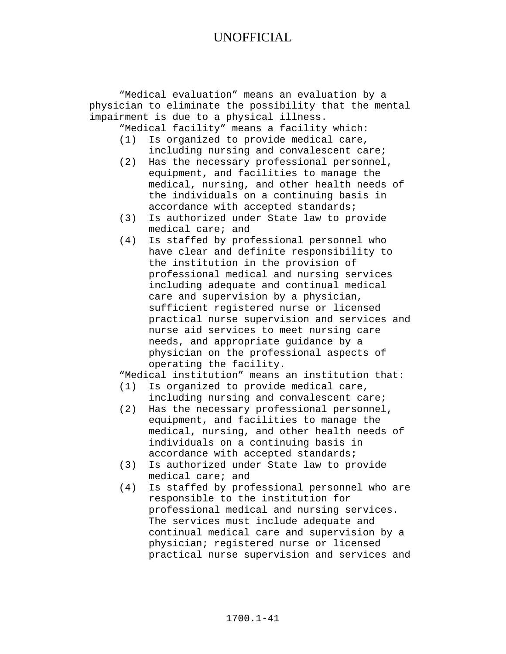"Medical evaluation" means an evaluation by a physician to eliminate the possibility that the mental impairment is due to a physical illness.

"Medical facility" means a facility which:

- (1) Is organized to provide medical care, including nursing and convalescent care;
- (2) Has the necessary professional personnel, equipment, and facilities to manage the medical, nursing, and other health needs of the individuals on a continuing basis in accordance with accepted standards;
- (3) Is authorized under State law to provide medical care; and
- (4) Is staffed by professional personnel who have clear and definite responsibility to the institution in the provision of professional medical and nursing services including adequate and continual medical care and supervision by a physician, sufficient registered nurse or licensed practical nurse supervision and services and nurse aid services to meet nursing care needs, and appropriate guidance by a physician on the professional aspects of operating the facility.

"Medical institution" means an institution that:<br>(1) Is organized to provide medical care,

- Is organized to provide medical care, including nursing and convalescent care;
- (2) Has the necessary professional personnel, equipment, and facilities to manage the medical, nursing, and other health needs of individuals on a continuing basis in accordance with accepted standards;
- (3) Is authorized under State law to provide medical care; and
- (4) Is staffed by professional personnel who are responsible to the institution for professional medical and nursing services. The services must include adequate and continual medical care and supervision by a physician; registered nurse or licensed practical nurse supervision and services and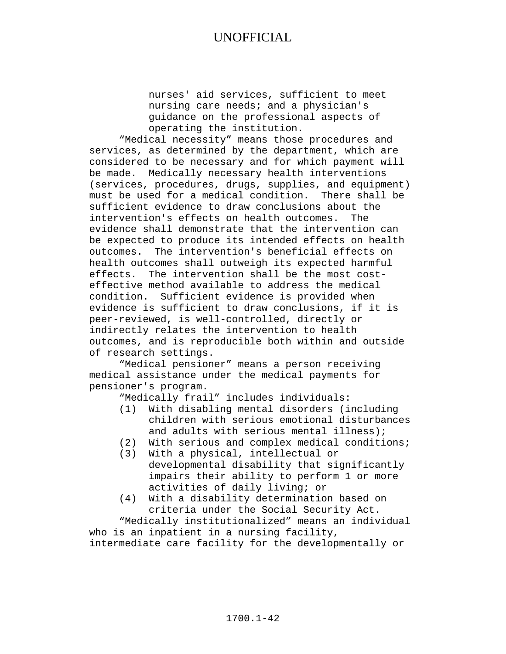nurses' aid services, sufficient to meet nursing care needs; and a physician's guidance on the professional aspects of operating the institution.

"Medical necessity" means those procedures and services, as determined by the department, which are considered to be necessary and for which payment will be made. Medically necessary health interventions (services, procedures, drugs, supplies, and equipment) must be used for a medical condition. There shall be sufficient evidence to draw conclusions about the<br>intervention's effects on health outcomes. The intervention's effects on health outcomes. evidence shall demonstrate that the intervention can be expected to produce its intended effects on health outcomes. The intervention's beneficial effects on health outcomes shall outweigh its expected harmful effects. The intervention shall be the most costeffective method available to address the medical condition. Sufficient evidence is provided when evidence is sufficient to draw conclusions, if it is peer-reviewed, is well-controlled, directly or indirectly relates the intervention to health outcomes, and is reproducible both within and outside of research settings.

"Medical pensioner" means a person receiving medical assistance under the medical payments for pensioner's program.

"Medically frail" includes individuals:

- With disabling mental disorders (including children with serious emotional disturbances and adults with serious mental illness);
- (2) With serious and complex medical conditions;
- (3) With a physical, intellectual or developmental disability that significantly impairs their ability to perform 1 or more activities of daily living; or
- (4) With a disability determination based on criteria under the Social Security Act.

"Medically institutionalized" means an individual who is an inpatient in a nursing facility, intermediate care facility for the developmentally or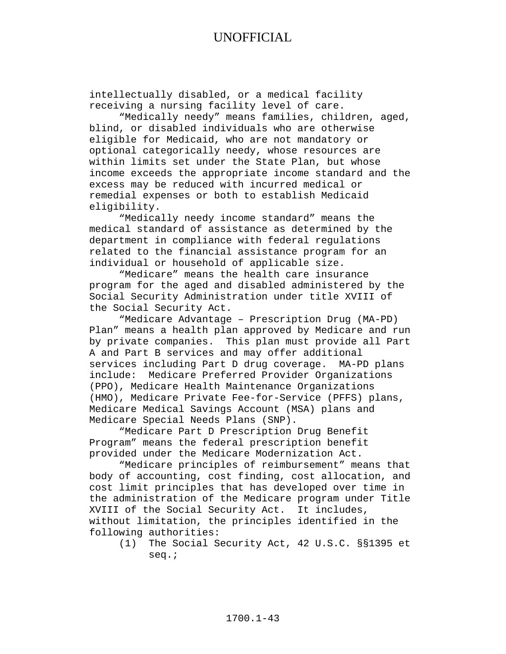intellectually disabled, or a medical facility receiving a nursing facility level of care.

"Medically needy" means families, children, aged, blind, or disabled individuals who are otherwise eligible for Medicaid, who are not mandatory or optional categorically needy, whose resources are within limits set under the State Plan, but whose income exceeds the appropriate income standard and the excess may be reduced with incurred medical or remedial expenses or both to establish Medicaid eligibility.

"Medically needy income standard" means the medical standard of assistance as determined by the department in compliance with federal regulations related to the financial assistance program for an individual or household of applicable size.

"Medicare" means the health care insurance program for the aged and disabled administered by the Social Security Administration under title XVIII of the Social Security Act.

"Medicare Advantage – Prescription Drug (MA-PD) Plan" means a health plan approved by Medicare and run by private companies. This plan must provide all Part A and Part B services and may offer additional services including Part D drug coverage. MA-PD plans include: Medicare Preferred Provider Organizations (PPO), Medicare Health Maintenance Organizations (HMO), Medicare Private Fee-for-Service (PFFS) plans, Medicare Medical Savings Account (MSA) plans and Medicare Special Needs Plans (SNP).

"Medicare Part D Prescription Drug Benefit Program" means the federal prescription benefit provided under the Medicare Modernization Act.

"Medicare principles of reimbursement" means that body of accounting, cost finding, cost allocation, and cost limit principles that has developed over time in the administration of the Medicare program under Title XVIII of the Social Security Act. It includes, without limitation, the principles identified in the following authorities:

(1) The Social Security Act, 42 U.S.C. §§1395 et seq.;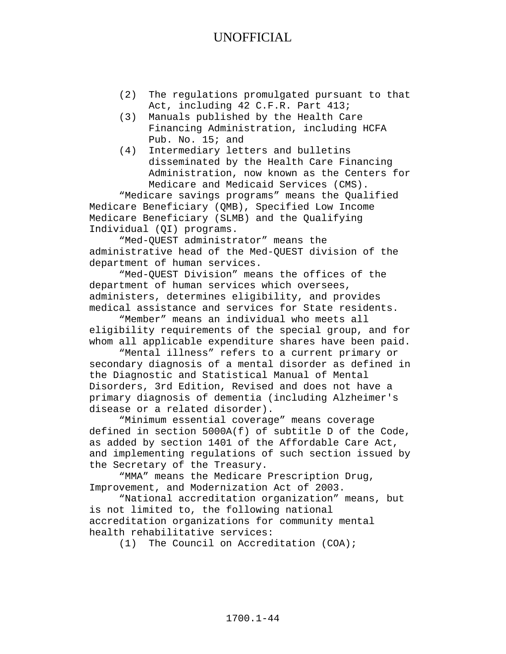- (2) The regulations promulgated pursuant to that Act, including 42 C.F.R. Part 413;
- (3) Manuals published by the Health Care Financing Administration, including HCFA Pub. No. 15; and
- (4) Intermediary letters and bulletins disseminated by the Health Care Financing Administration, now known as the Centers for Medicare and Medicaid Services (CMS).

"Medicare savings programs" means the Qualified Medicare Beneficiary (QMB), Specified Low Income Medicare Beneficiary (SLMB) and the Qualifying Individual (QI) programs.

"Med-QUEST administrator" means the administrative head of the Med-QUEST division of the department of human services.

"Med-QUEST Division" means the offices of the department of human services which oversees, administers, determines eligibility, and provides medical assistance and services for State residents.

"Member" means an individual who meets all eligibility requirements of the special group, and for whom all applicable expenditure shares have been paid.

"Mental illness" refers to a current primary or secondary diagnosis of a mental disorder as defined in the Diagnostic and Statistical Manual of Mental Disorders, 3rd Edition, Revised and does not have a primary diagnosis of dementia (including Alzheimer's disease or a related disorder).

"Minimum essential coverage" means coverage defined in section 5000A(f) of subtitle D of the Code, as added by section 1401 of the Affordable Care Act, and implementing regulations of such section issued by the Secretary of the Treasury.

"MMA" means the Medicare Prescription Drug, Improvement, and Modernization Act of 2003.

"National accreditation organization" means, but is not limited to, the following national accreditation organizations for community mental health rehabilitative services:

(1) The Council on Accreditation (COA);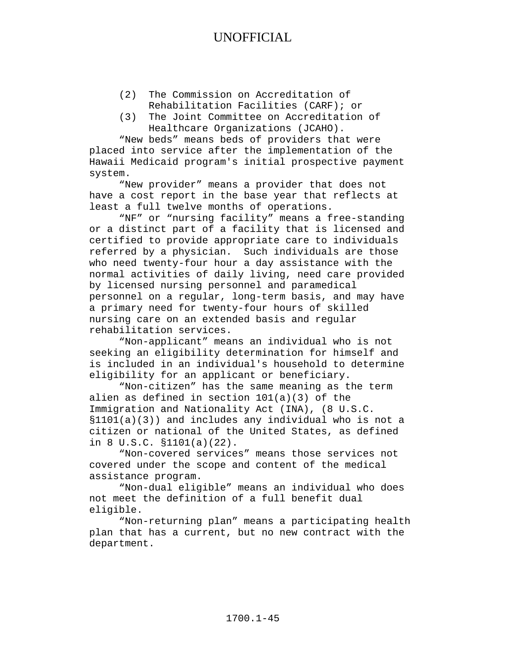- (2) The Commission on Accreditation of Rehabilitation Facilities (CARF); or
- (3) The Joint Committee on Accreditation of Healthcare Organizations (JCAHO).

"New beds" means beds of providers that were placed into service after the implementation of the Hawaii Medicaid program's initial prospective payment system.

"New provider" means a provider that does not have a cost report in the base year that reflects at least a full twelve months of operations.

"NF" or "nursing facility" means a free-standing or a distinct part of a facility that is licensed and certified to provide appropriate care to individuals referred by a physician. Such individuals are those who need twenty-four hour a day assistance with the normal activities of daily living, need care provided by licensed nursing personnel and paramedical personnel on a regular, long-term basis, and may have a primary need for twenty-four hours of skilled nursing care on an extended basis and regular rehabilitation services.

"Non-applicant" means an individual who is not seeking an eligibility determination for himself and is included in an individual's household to determine eligibility for an applicant or beneficiary.

"Non-citizen" has the same meaning as the term alien as defined in section 101(a)(3) of the Immigration and Nationality Act (INA), (8 U.S.C. §1101(a)(3)) and includes any individual who is not a citizen or national of the United States, as defined in 8 U.S.C. §1101(a)(22).

"Non-covered services" means those services not covered under the scope and content of the medical assistance program.

"Non-dual eligible" means an individual who does not meet the definition of a full benefit dual eligible.

"Non-returning plan" means a participating health plan that has a current, but no new contract with the department.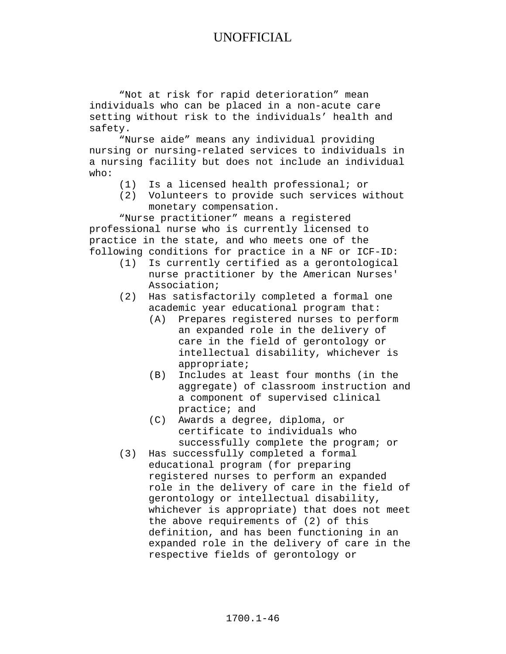"Not at risk for rapid deterioration" mean individuals who can be placed in a non-acute care setting without risk to the individuals' health and safety.

"Nurse aide" means any individual providing nursing or nursing-related services to individuals in a nursing facility but does not include an individual who:

- (1) Is a licensed health professional; or
- (2) Volunteers to provide such services without monetary compensation.

"Nurse practitioner" means a registered professional nurse who is currently licensed to practice in the state, and who meets one of the following conditions for practice in a NF or ICF-ID:

- (1) Is currently certified as a gerontological nurse practitioner by the American Nurses' Association;
- (2) Has satisfactorily completed a formal one academic year educational program that:
	- (A) Prepares registered nurses to perform an expanded role in the delivery of care in the field of gerontology or intellectual disability, whichever is appropriate;
	- (B) Includes at least four months (in the aggregate) of classroom instruction and a component of supervised clinical practice; and
	- (C) Awards a degree, diploma, or certificate to individuals who successfully complete the program; or
- (3) Has successfully completed a formal educational program (for preparing registered nurses to perform an expanded role in the delivery of care in the field of gerontology or intellectual disability, whichever is appropriate) that does not meet the above requirements of (2) of this definition, and has been functioning in an expanded role in the delivery of care in the respective fields of gerontology or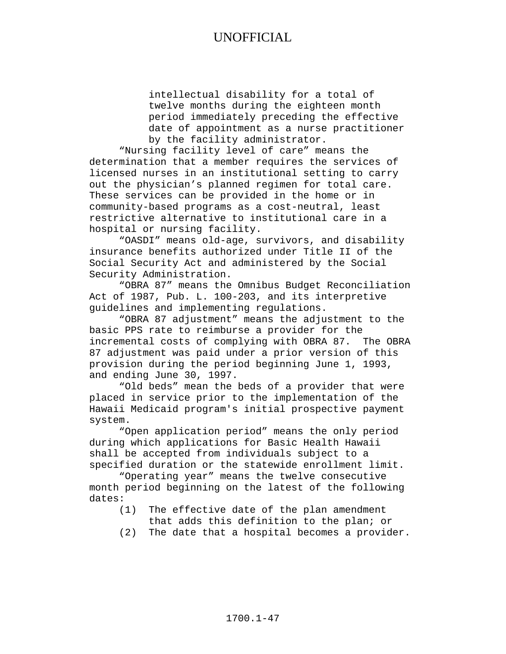intellectual disability for a total of twelve months during the eighteen month period immediately preceding the effective date of appointment as a nurse practitioner by the facility administrator.

"Nursing facility level of care" means the determination that a member requires the services of licensed nurses in an institutional setting to carry out the physician's planned regimen for total care. These services can be provided in the home or in community-based programs as a cost-neutral, least restrictive alternative to institutional care in a hospital or nursing facility.

"OASDI" means old-age, survivors, and disability insurance benefits authorized under Title II of the Social Security Act and administered by the Social Security Administration.

"OBRA 87" means the Omnibus Budget Reconciliation Act of 1987, Pub. L. 100-203, and its interpretive guidelines and implementing regulations.

"OBRA 87 adjustment" means the adjustment to the basic PPS rate to reimburse a provider for the incremental costs of complying with OBRA 87. The OBRA 87 adjustment was paid under a prior version of this provision during the period beginning June 1, 1993, and ending June 30, 1997.

"Old beds" mean the beds of a provider that were placed in service prior to the implementation of the Hawaii Medicaid program's initial prospective payment system.

"Open application period" means the only period during which applications for Basic Health Hawaii shall be accepted from individuals subject to a specified duration or the statewide enrollment limit.

"Operating year" means the twelve consecutive month period beginning on the latest of the following dates:

- (1) The effective date of the plan amendment
	- that adds this definition to the plan; or
- (2) The date that a hospital becomes a provider.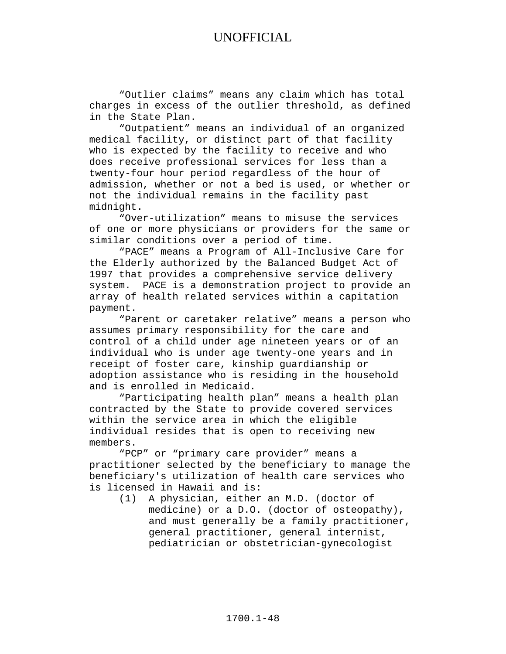"Outlier claims" means any claim which has total charges in excess of the outlier threshold, as defined in the State Plan.

"Outpatient" means an individual of an organized medical facility, or distinct part of that facility who is expected by the facility to receive and who does receive professional services for less than a twenty-four hour period regardless of the hour of admission, whether or not a bed is used, or whether or not the individual remains in the facility past midnight.

"Over-utilization" means to misuse the services of one or more physicians or providers for the same or similar conditions over a period of time.

"PACE" means a Program of All-Inclusive Care for the Elderly authorized by the Balanced Budget Act of 1997 that provides a comprehensive service delivery system. PACE is a demonstration project to provide an array of health related services within a capitation payment.

"Parent or caretaker relative" means a person who assumes primary responsibility for the care and control of a child under age nineteen years or of an individual who is under age twenty-one years and in receipt of foster care, kinship guardianship or adoption assistance who is residing in the household and is enrolled in Medicaid.

"Participating health plan" means a health plan contracted by the State to provide covered services within the service area in which the eligible individual resides that is open to receiving new members.

"PCP" or "primary care provider" means a practitioner selected by the beneficiary to manage the beneficiary's utilization of health care services who is licensed in Hawaii and is:

A physician, either an M.D. (doctor of medicine) or a D.O. (doctor of osteopathy), and must generally be a family practitioner, general practitioner, general internist, pediatrician or obstetrician-gynecologist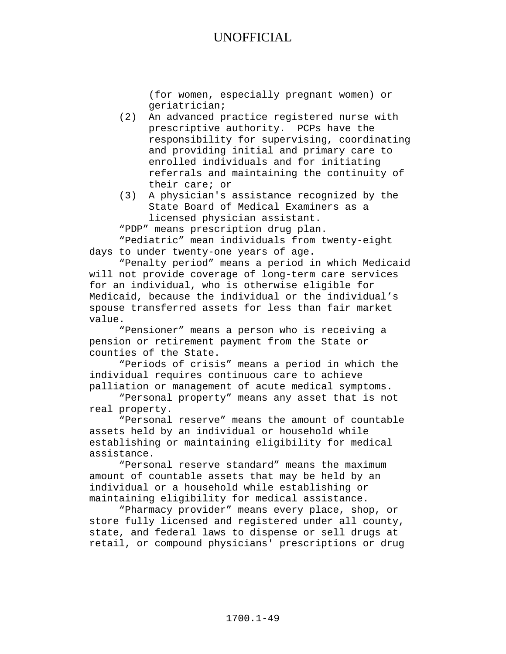(for women, especially pregnant women) or geriatrician;

- (2) An advanced practice registered nurse with prescriptive authority. PCPs have the responsibility for supervising, coordinating and providing initial and primary care to enrolled individuals and for initiating referrals and maintaining the continuity of their care; or
- (3) A physician's assistance recognized by the State Board of Medical Examiners as a licensed physician assistant.

"PDP" means prescription drug plan. "Pediatric" mean individuals from twenty-eight days to under twenty-one years of age.

"Penalty period" means a period in which Medicaid will not provide coverage of long-term care services for an individual, who is otherwise eligible for Medicaid, because the individual or the individual's spouse transferred assets for less than fair market value.

"Pensioner" means a person who is receiving a pension or retirement payment from the State or counties of the State.

"Periods of crisis" means a period in which the individual requires continuous care to achieve palliation or management of acute medical symptoms.

"Personal property" means any asset that is not real property.

"Personal reserve" means the amount of countable assets held by an individual or household while establishing or maintaining eligibility for medical assistance.

"Personal reserve standard" means the maximum amount of countable assets that may be held by an individual or a household while establishing or maintaining eligibility for medical assistance.

"Pharmacy provider" means every place, shop, or store fully licensed and registered under all county, state, and federal laws to dispense or sell drugs at retail, or compound physicians' prescriptions or drug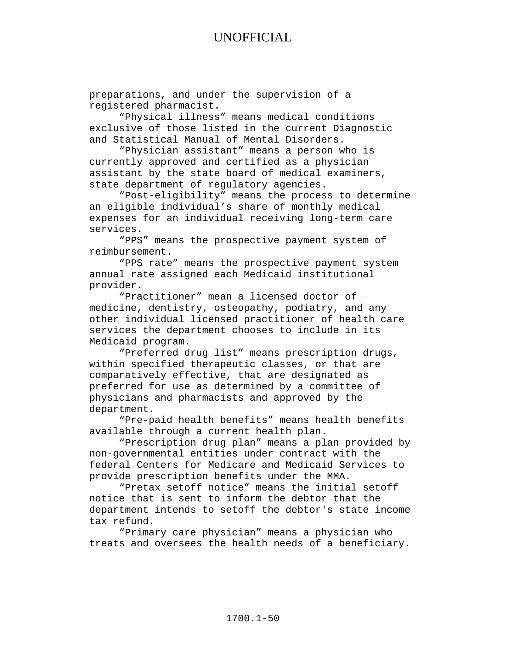preparations, and under the supervision of a registered pharmacist.

"Physical illness" means medical conditions exclusive of those listed in the current Diagnostic and Statistical Manual of Mental Disorders.

"Physician assistant" means a person who is currently approved and certified as a physician assistant by the state board of medical examiners, state department of regulatory agencies.

"Post-eligibility" means the process to determine an eligible individual's share of monthly medical expenses for an individual receiving long-term care services.

"PPS" means the prospective payment system of reimbursement.

"PPS rate" means the prospective payment system annual rate assigned each Medicaid institutional provider.

"Practitioner" mean a licensed doctor of medicine, dentistry, osteopathy, podiatry, and any other individual licensed practitioner of health care services the department chooses to include in its Medicaid program.

"Preferred drug list" means prescription drugs, within specified therapeutic classes, or that are comparatively effective, that are designated as preferred for use as determined by a committee of physicians and pharmacists and approved by the department.

"Pre-paid health benefits" means health benefits available through a current health plan.

"Prescription drug plan" means a plan provided by non-governmental entities under contract with the federal Centers for Medicare and Medicaid Services to provide prescription benefits under the MMA.

"Pretax setoff notice" means the initial setoff notice that is sent to inform the debtor that the department intends to setoff the debtor's state income tax refund.

"Primary care physician" means a physician who treats and oversees the health needs of a beneficiary.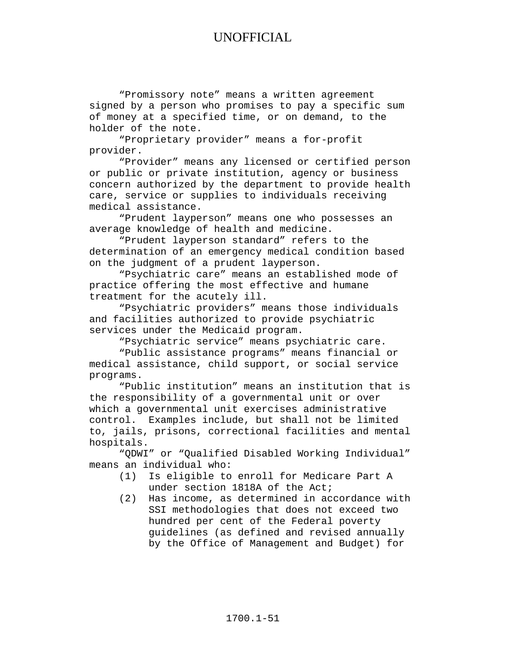"Promissory note" means a written agreement signed by a person who promises to pay a specific sum of money at a specified time, or on demand, to the holder of the note.

"Proprietary provider" means a for-profit provider.

"Provider" means any licensed or certified person or public or private institution, agency or business concern authorized by the department to provide health care, service or supplies to individuals receiving medical assistance.

"Prudent layperson" means one who possesses an average knowledge of health and medicine.

"Prudent layperson standard" refers to the determination of an emergency medical condition based on the judgment of a prudent layperson.

"Psychiatric care" means an established mode of practice offering the most effective and humane treatment for the acutely ill.

"Psychiatric providers" means those individuals and facilities authorized to provide psychiatric services under the Medicaid program.

"Psychiatric service" means psychiatric care.

"Public assistance programs" means financial or medical assistance, child support, or social service programs.

"Public institution" means an institution that is the responsibility of a governmental unit or over which a governmental unit exercises administrative control. Examples include, but shall not be limited to, jails, prisons, correctional facilities and mental hospitals.

"QDWI" or "Qualified Disabled Working Individual" means an individual who:<br>(1) Is eligible to

- Is eligible to enroll for Medicare Part A under section 1818A of the Act;
- (2) Has income, as determined in accordance with SSI methodologies that does not exceed two hundred per cent of the Federal poverty guidelines (as defined and revised annually by the Office of Management and Budget) for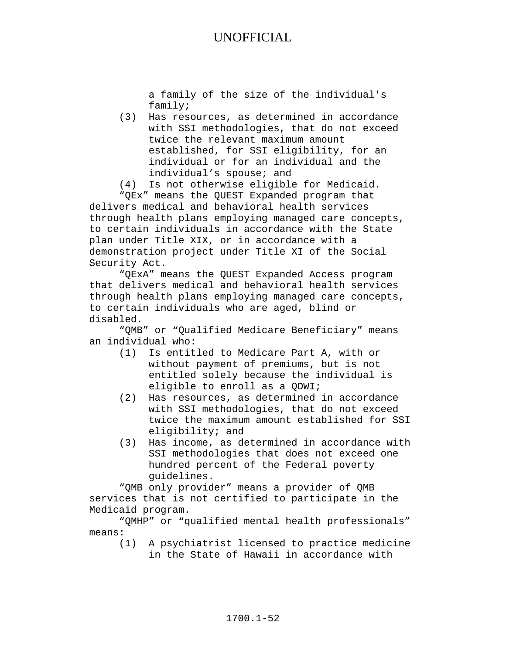a family of the size of the individual's family;

- (3) Has resources, as determined in accordance with SSI methodologies, that do not exceed twice the relevant maximum amount established, for SSI eligibility, for an individual or for an individual and the individual's spouse; and
- (4) Is not otherwise eligible for Medicaid.

"QEx" means the QUEST Expanded program that delivers medical and behavioral health services through health plans employing managed care concepts, to certain individuals in accordance with the State plan under Title XIX, or in accordance with a demonstration project under Title XI of the Social Security Act.

"QExA" means the QUEST Expanded Access program that delivers medical and behavioral health services through health plans employing managed care concepts, to certain individuals who are aged, blind or disabled.

"QMB" or "Qualified Medicare Beneficiary" means an individual who:

- (1) Is entitled to Medicare Part A, with or without payment of premiums, but is not entitled solely because the individual is eligible to enroll as a QDWI;
- (2) Has resources, as determined in accordance with SSI methodologies, that do not exceed twice the maximum amount established for SSI eligibility; and
- (3) Has income, as determined in accordance with SSI methodologies that does not exceed one hundred percent of the Federal poverty guidelines.

"QMB only provider" means a provider of QMB services that is not certified to participate in the Medicaid program.

"QMHP" or "qualified mental health professionals" means:

(1) A psychiatrist licensed to practice medicine in the State of Hawaii in accordance with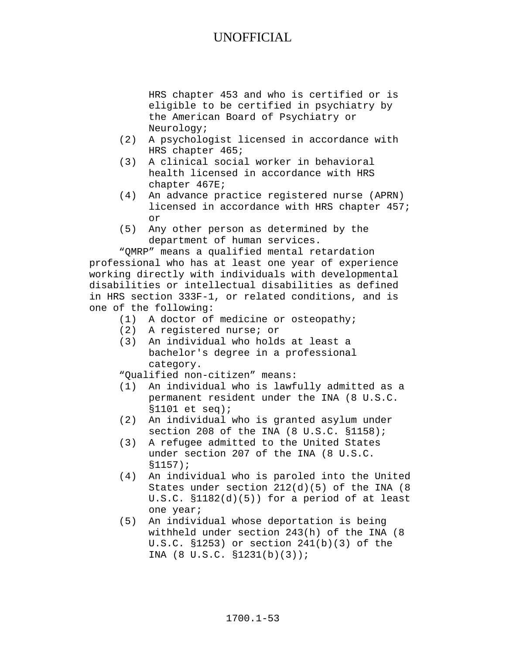HRS chapter 453 and who is certified or is eligible to be certified in psychiatry by the American Board of Psychiatry or Neurology;

- (2) A psychologist licensed in accordance with HRS chapter 465;
- (3) A clinical social worker in behavioral health licensed in accordance with HRS chapter 467E;
- (4) An advance practice registered nurse (APRN) licensed in accordance with HRS chapter 457; or
- (5) Any other person as determined by the department of human services.

"QMRP" means a qualified mental retardation professional who has at least one year of experience working directly with individuals with developmental disabilities or intellectual disabilities as defined in HRS section 333F-1, or related conditions, and is one of the following:

- (1) A doctor of medicine or osteopathy;
- (2) A registered nurse; or
- (3) An individual who holds at least a bachelor's degree in a professional category.

"Qualified non-citizen" means:

- (1) An individual who is lawfully admitted as a permanent resident under the INA (8 U.S.C. §1101 et seq);
- (2) An individual who is granted asylum under section 208 of the INA (8 U.S.C. §1158);
- (3) A refugee admitted to the United States under section 207 of the INA (8 U.S.C. §1157);
- (4) An individual who is paroled into the United States under section 212(d)(5) of the INA (8 U.S.C. §1182(d)(5)) for a period of at least one year;
- (5) An individual whose deportation is being withheld under section 243(h) of the INA (8 U.S.C. §1253) or section 241(b)(3) of the INA (8 U.S.C. §1231(b)(3));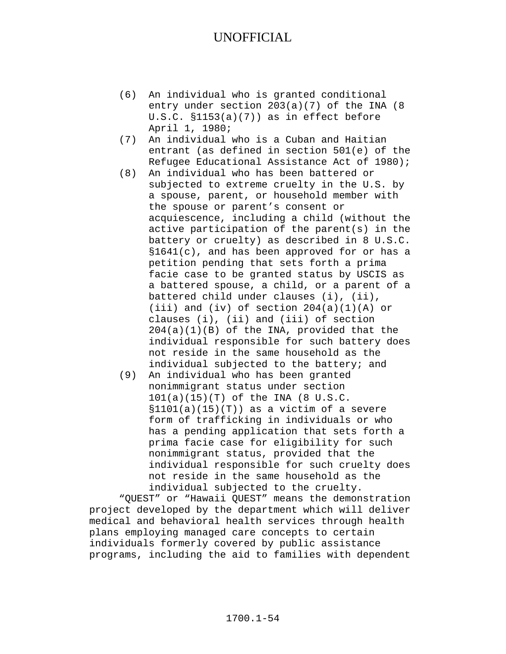- (6) An individual who is granted conditional entry under section 203(a)(7) of the INA (8 U.S.C. §1153(a)(7)) as in effect before April 1, 1980;
- (7) An individual who is a Cuban and Haitian entrant (as defined in section 501(e) of the Refugee Educational Assistance Act of 1980);
- (8) An individual who has been battered or subjected to extreme cruelty in the U.S. by a spouse, parent, or household member with the spouse or parent's consent or acquiescence, including a child (without the active participation of the parent(s) in the battery or cruelty) as described in 8 U.S.C. §1641(c), and has been approved for or has a petition pending that sets forth a prima facie case to be granted status by USCIS as a battered spouse, a child, or a parent of a battered child under clauses (i), (ii), (iii) and (iv) of section  $204(a)(1)(A)$  or clauses (i), (ii) and (iii) of section  $204(a)(1)(B)$  of the INA, provided that the individual responsible for such battery does not reside in the same household as the individual subjected to the battery; and
- (9) An individual who has been granted nonimmigrant status under section 101(a)(15)(T) of the INA (8 U.S.C.  $$1101(a)(15)(T)$  as a victim of a severe form of trafficking in individuals or who has a pending application that sets forth a prima facie case for eligibility for such nonimmigrant status, provided that the individual responsible for such cruelty does not reside in the same household as the individual subjected to the cruelty.

"QUEST" or "Hawaii QUEST" means the demonstration project developed by the department which will deliver medical and behavioral health services through health plans employing managed care concepts to certain individuals formerly covered by public assistance programs, including the aid to families with dependent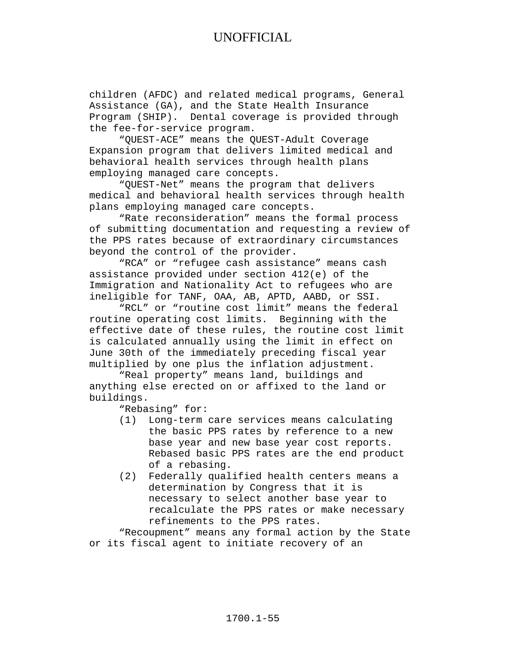children (AFDC) and related medical programs, General Assistance (GA), and the State Health Insurance Program (SHIP). Dental coverage is provided through the fee-for-service program.

"QUEST-ACE" means the QUEST-Adult Coverage Expansion program that delivers limited medical and behavioral health services through health plans employing managed care concepts.

"QUEST-Net" means the program that delivers medical and behavioral health services through health plans employing managed care concepts.

"Rate reconsideration" means the formal process of submitting documentation and requesting a review of the PPS rates because of extraordinary circumstances beyond the control of the provider.

"RCA" or "refugee cash assistance" means cash assistance provided under section 412(e) of the Immigration and Nationality Act to refugees who are ineligible for TANF, OAA, AB, APTD, AABD, or SSI.

"RCL" or "routine cost limit" means the federal routine operating cost limits. Beginning with the effective date of these rules, the routine cost limit is calculated annually using the limit in effect on June 30th of the immediately preceding fiscal year multiplied by one plus the inflation adjustment.

"Real property" means land, buildings and anything else erected on or affixed to the land or buildings.

"Rebasing" for:

- (1) Long-term care services means calculating the basic PPS rates by reference to a new base year and new base year cost reports. Rebased basic PPS rates are the end product of a rebasing.
- (2) Federally qualified health centers means a determination by Congress that it is necessary to select another base year to recalculate the PPS rates or make necessary refinements to the PPS rates.

"Recoupment" means any formal action by the State or its fiscal agent to initiate recovery of an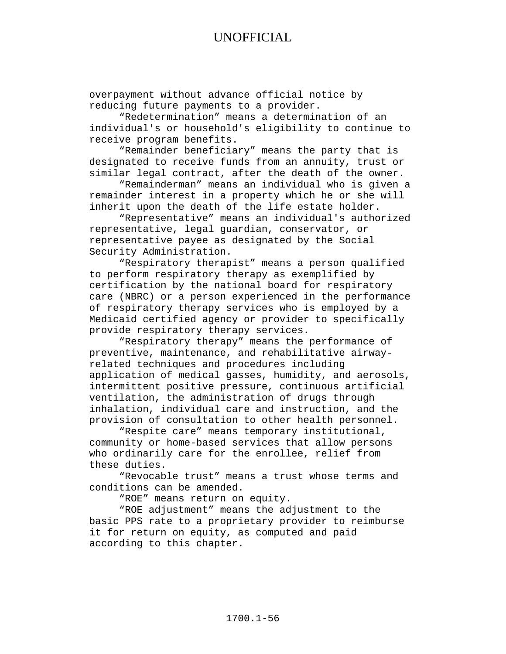overpayment without advance official notice by reducing future payments to a provider.

"Redetermination" means a determination of an individual's or household's eligibility to continue to receive program benefits.

"Remainder beneficiary" means the party that is designated to receive funds from an annuity, trust or similar legal contract, after the death of the owner.

"Remainderman" means an individual who is given a remainder interest in a property which he or she will inherit upon the death of the life estate holder.

"Representative" means an individual's authorized representative, legal guardian, conservator, or representative payee as designated by the Social Security Administration.

"Respiratory therapist" means a person qualified to perform respiratory therapy as exemplified by certification by the national board for respiratory care (NBRC) or a person experienced in the performance of respiratory therapy services who is employed by a Medicaid certified agency or provider to specifically provide respiratory therapy services.

"Respiratory therapy" means the performance of preventive, maintenance, and rehabilitative airwayrelated techniques and procedures including application of medical gasses, humidity, and aerosols, intermittent positive pressure, continuous artificial ventilation, the administration of drugs through inhalation, individual care and instruction, and the provision of consultation to other health personnel.

"Respite care" means temporary institutional, community or home-based services that allow persons who ordinarily care for the enrollee, relief from these duties.

"Revocable trust" means a trust whose terms and conditions can be amended.

"ROE" means return on equity.

"ROE adjustment" means the adjustment to the basic PPS rate to a proprietary provider to reimburse it for return on equity, as computed and paid according to this chapter.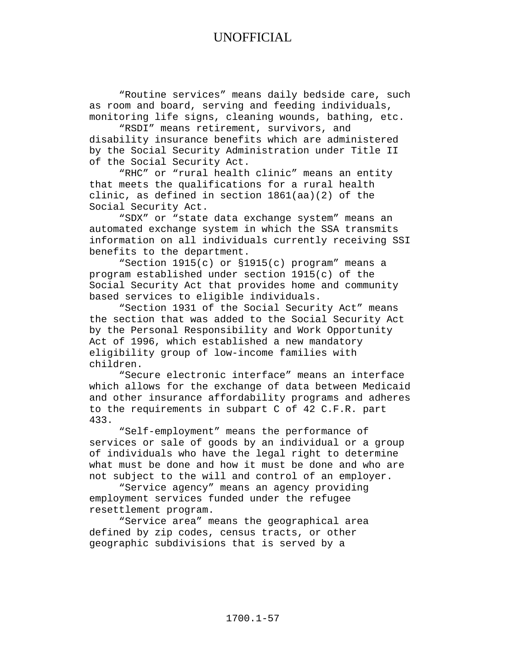"Routine services" means daily bedside care, such as room and board, serving and feeding individuals, monitoring life signs, cleaning wounds, bathing, etc.

"RSDI" means retirement, survivors, and disability insurance benefits which are administered by the Social Security Administration under Title II of the Social Security Act.

"RHC" or "rural health clinic" means an entity that meets the qualifications for a rural health clinic, as defined in section 1861(aa)(2) of the Social Security Act.

"SDX" or "state data exchange system" means an automated exchange system in which the SSA transmits information on all individuals currently receiving SSI benefits to the department.

"Section 1915(c) or §1915(c) program" means a program established under section 1915(c) of the Social Security Act that provides home and community based services to eligible individuals.

"Section 1931 of the Social Security Act" means the section that was added to the Social Security Act by the Personal Responsibility and Work Opportunity Act of 1996, which established a new mandatory eligibility group of low-income families with children.

"Secure electronic interface" means an interface which allows for the exchange of data between Medicaid and other insurance affordability programs and adheres to the requirements in subpart C of 42 C.F.R. part 433.

"Self-employment" means the performance of services or sale of goods by an individual or a group of individuals who have the legal right to determine what must be done and how it must be done and who are not subject to the will and control of an employer.

"Service agency" means an agency providing employment services funded under the refugee resettlement program.

"Service area" means the geographical area defined by zip codes, census tracts, or other geographic subdivisions that is served by a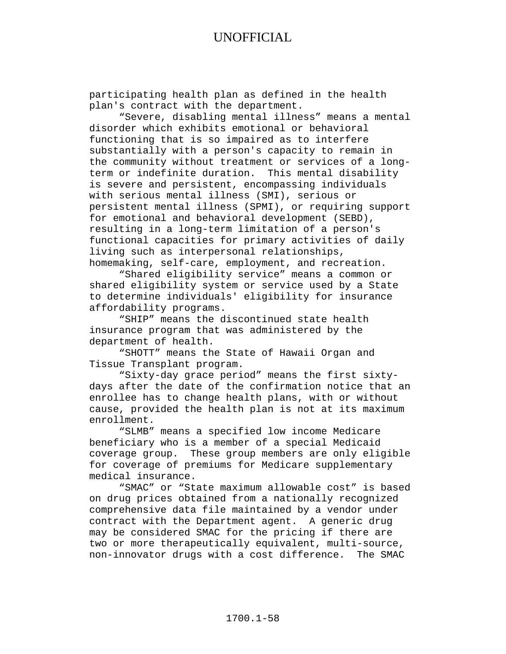participating health plan as defined in the health plan's contract with the department.

"Severe, disabling mental illness" means a mental disorder which exhibits emotional or behavioral functioning that is so impaired as to interfere substantially with a person's capacity to remain in the community without treatment or services of a long-<br>term or indefinite duration. This mental disability term or indefinite duration. is severe and persistent, encompassing individuals with serious mental illness (SMI), serious or persistent mental illness (SPMI), or requiring support for emotional and behavioral development (SEBD), resulting in a long-term limitation of a person's functional capacities for primary activities of daily living such as interpersonal relationships, homemaking, self-care, employment, and recreation.

"Shared eligibility service" means a common or shared eligibility system or service used by a State to determine individuals' eligibility for insurance affordability programs.

"SHIP" means the discontinued state health insurance program that was administered by the department of health.

"SHOTT" means the State of Hawaii Organ and Tissue Transplant program.

"Sixty-day grace period" means the first sixtydays after the date of the confirmation notice that an enrollee has to change health plans, with or without cause, provided the health plan is not at its maximum enrollment.

"SLMB" means a specified low income Medicare beneficiary who is a member of a special Medicaid coverage group. These group members are only eligible for coverage of premiums for Medicare supplementary medical insurance.

"SMAC" or "State maximum allowable cost" is based on drug prices obtained from a nationally recognized comprehensive data file maintained by a vendor under contract with the Department agent. A generic drug may be considered SMAC for the pricing if there are two or more therapeutically equivalent, multi-source, non-innovator drugs with a cost difference. The SMAC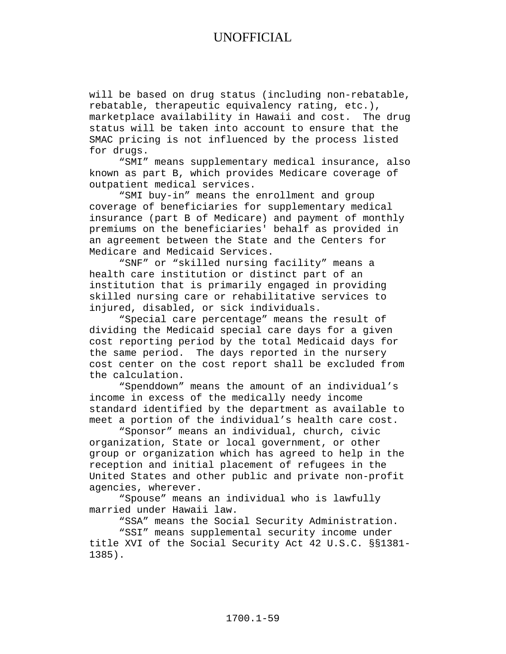will be based on drug status (including non-rebatable, rebatable, therapeutic equivalency rating, etc.), marketplace availability in Hawaii and cost. The drug status will be taken into account to ensure that the SMAC pricing is not influenced by the process listed for drugs.

"SMI" means supplementary medical insurance, also known as part B, which provides Medicare coverage of outpatient medical services.

"SMI buy-in" means the enrollment and group coverage of beneficiaries for supplementary medical insurance (part B of Medicare) and payment of monthly premiums on the beneficiaries' behalf as provided in an agreement between the State and the Centers for Medicare and Medicaid Services.

"SNF" or "skilled nursing facility" means a health care institution or distinct part of an institution that is primarily engaged in providing skilled nursing care or rehabilitative services to injured, disabled, or sick individuals.

"Special care percentage" means the result of dividing the Medicaid special care days for a given cost reporting period by the total Medicaid days for the same period. The days reported in the nursery cost center on the cost report shall be excluded from the calculation.

"Spenddown" means the amount of an individual's income in excess of the medically needy income standard identified by the department as available to meet a portion of the individual's health care cost.

"Sponsor" means an individual, church, civic organization, State or local government, or other group or organization which has agreed to help in the reception and initial placement of refugees in the United States and other public and private non-profit agencies, wherever.

"Spouse" means an individual who is lawfully married under Hawaii law.

"SSA" means the Social Security Administration.

"SSI" means supplemental security income under title XVI of the Social Security Act 42 U.S.C. §§1381- 1385).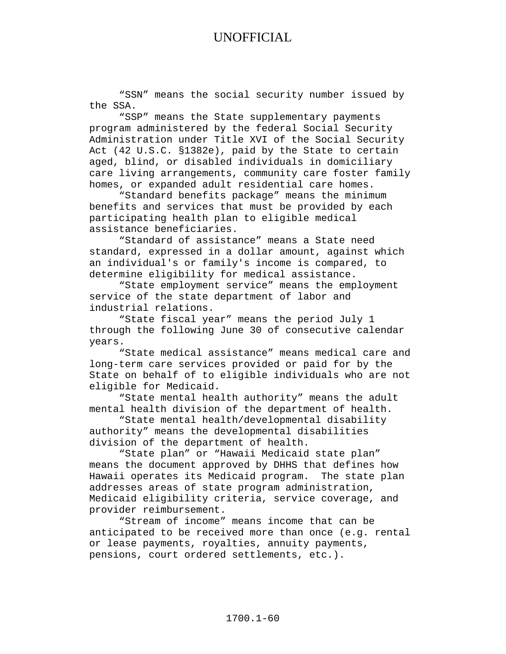"SSN" means the social security number issued by the SSA.

"SSP" means the State supplementary payments program administered by the federal Social Security Administration under Title XVI of the Social Security Act (42 U.S.C. §1382e), paid by the State to certain aged, blind, or disabled individuals in domiciliary care living arrangements, community care foster family homes, or expanded adult residential care homes.

"Standard benefits package" means the minimum benefits and services that must be provided by each participating health plan to eligible medical assistance beneficiaries.

"Standard of assistance" means a State need standard, expressed in a dollar amount, against which an individual's or family's income is compared, to determine eligibility for medical assistance.

"State employment service" means the employment service of the state department of labor and industrial relations.

"State fiscal year" means the period July 1 through the following June 30 of consecutive calendar years.

"State medical assistance" means medical care and long-term care services provided or paid for by the State on behalf of to eligible individuals who are not eligible for Medicaid.

"State mental health authority" means the adult mental health division of the department of health.

"State mental health/developmental disability authority" means the developmental disabilities division of the department of health.

"State plan" or "Hawaii Medicaid state plan" means the document approved by DHHS that defines how Hawaii operates its Medicaid program. The state plan addresses areas of state program administration, Medicaid eligibility criteria, service coverage, and provider reimbursement.

"Stream of income" means income that can be anticipated to be received more than once (e.g. rental or lease payments, royalties, annuity payments, pensions, court ordered settlements, etc.).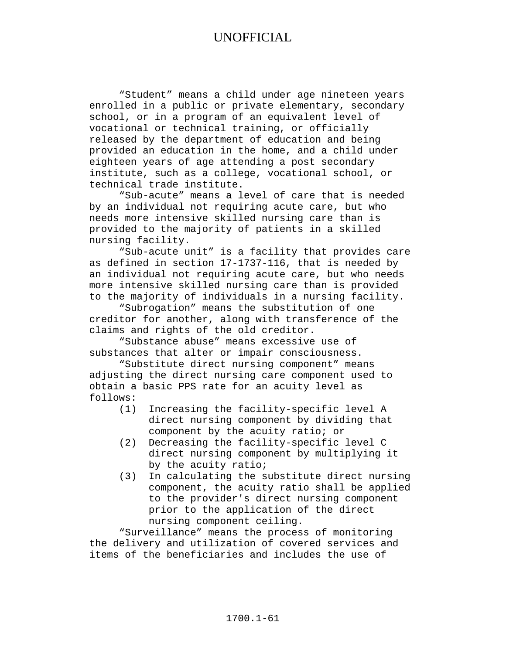"Student" means a child under age nineteen years enrolled in a public or private elementary, secondary school, or in a program of an equivalent level of vocational or technical training, or officially released by the department of education and being provided an education in the home, and a child under eighteen years of age attending a post secondary institute, such as a college, vocational school, or technical trade institute.

"Sub-acute" means a level of care that is needed by an individual not requiring acute care, but who needs more intensive skilled nursing care than is provided to the majority of patients in a skilled nursing facility.

"Sub-acute unit" is a facility that provides care as defined in section 17-1737-116, that is needed by an individual not requiring acute care, but who needs more intensive skilled nursing care than is provided to the majority of individuals in a nursing facility.

"Subrogation" means the substitution of one creditor for another, along with transference of the claims and rights of the old creditor.

"Substance abuse" means excessive use of substances that alter or impair consciousness.

"Substitute direct nursing component" means adjusting the direct nursing care component used to obtain a basic PPS rate for an acuity level as follows:

- Increasing the facility-specific level A direct nursing component by dividing that component by the acuity ratio; or
- (2) Decreasing the facility-specific level C direct nursing component by multiplying it by the acuity ratio;
- (3) In calculating the substitute direct nursing component, the acuity ratio shall be applied to the provider's direct nursing component prior to the application of the direct nursing component ceiling.

"Surveillance" means the process of monitoring the delivery and utilization of covered services and items of the beneficiaries and includes the use of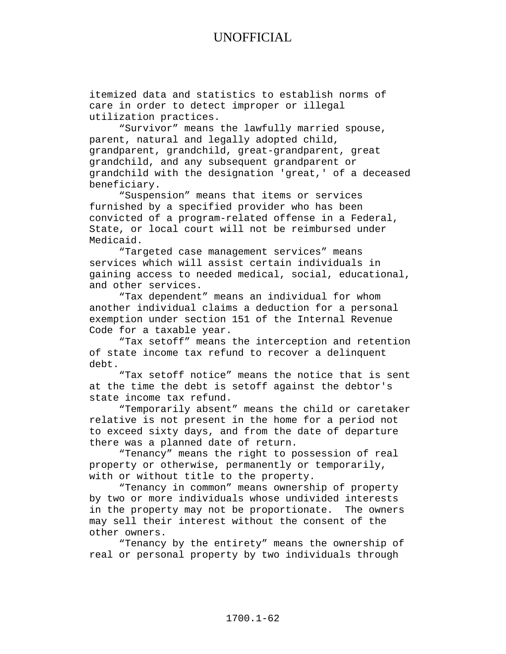itemized data and statistics to establish norms of care in order to detect improper or illegal utilization practices.

"Survivor" means the lawfully married spouse, parent, natural and legally adopted child, grandparent, grandchild, great-grandparent, great grandchild, and any subsequent grandparent or grandchild with the designation 'great,' of a deceased beneficiary.

"Suspension" means that items or services furnished by a specified provider who has been convicted of a program-related offense in a Federal, State, or local court will not be reimbursed under Medicaid.

"Targeted case management services" means services which will assist certain individuals in gaining access to needed medical, social, educational, and other services.

"Tax dependent" means an individual for whom another individual claims a deduction for a personal exemption under section 151 of the Internal Revenue Code for a taxable year.

"Tax setoff" means the interception and retention of state income tax refund to recover a delinquent debt.

"Tax setoff notice" means the notice that is sent at the time the debt is setoff against the debtor's state income tax refund.

"Temporarily absent" means the child or caretaker relative is not present in the home for a period not to exceed sixty days, and from the date of departure there was a planned date of return.

"Tenancy" means the right to possession of real property or otherwise, permanently or temporarily, with or without title to the property.

"Tenancy in common" means ownership of property by two or more individuals whose undivided interests in the property may not be proportionate. The owners may sell their interest without the consent of the other owners.

"Tenancy by the entirety" means the ownership of real or personal property by two individuals through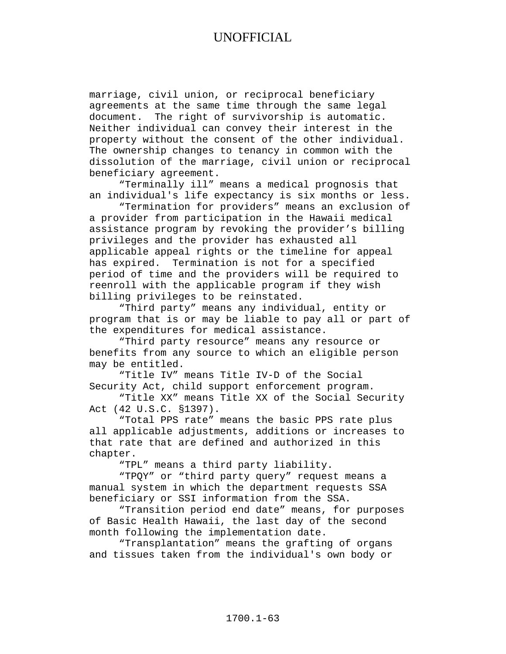marriage, civil union, or reciprocal beneficiary agreements at the same time through the same legal document. The right of survivorship is automatic. Neither individual can convey their interest in the property without the consent of the other individual. The ownership changes to tenancy in common with the dissolution of the marriage, civil union or reciprocal beneficiary agreement.

"Terminally ill" means a medical prognosis that an individual's life expectancy is six months or less.

"Termination for providers" means an exclusion of a provider from participation in the Hawaii medical assistance program by revoking the provider's billing privileges and the provider has exhausted all applicable appeal rights or the timeline for appeal has expired. Termination is not for a specified period of time and the providers will be required to reenroll with the applicable program if they wish billing privileges to be reinstated.

"Third party" means any individual, entity or program that is or may be liable to pay all or part of the expenditures for medical assistance.

"Third party resource" means any resource or benefits from any source to which an eligible person may be entitled.

"Title IV" means Title IV-D of the Social Security Act, child support enforcement program.

"Title XX" means Title XX of the Social Security Act (42 U.S.C. §1397).

"Total PPS rate" means the basic PPS rate plus all applicable adjustments, additions or increases to that rate that are defined and authorized in this chapter.

"TPL" means a third party liability.

"TPQY" or "third party query" request means a manual system in which the department requests SSA beneficiary or SSI information from the SSA.

"Transition period end date" means, for purposes of Basic Health Hawaii, the last day of the second month following the implementation date.

"Transplantation" means the grafting of organs and tissues taken from the individual's own body or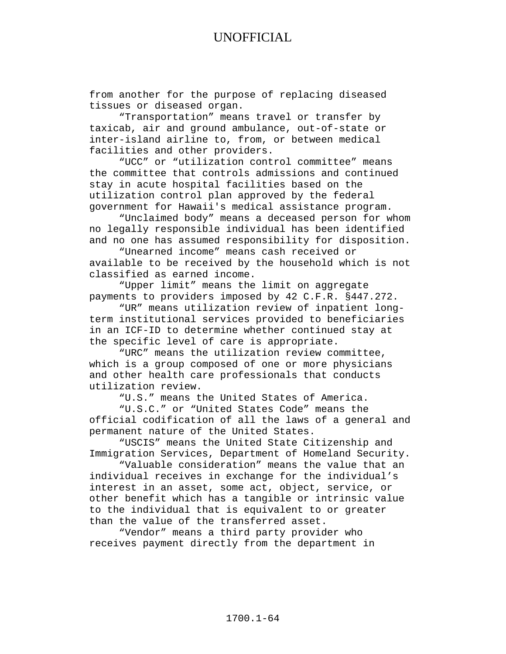from another for the purpose of replacing diseased tissues or diseased organ.

"Transportation" means travel or transfer by taxicab, air and ground ambulance, out-of-state or inter-island airline to, from, or between medical facilities and other providers.

"UCC" or "utilization control committee" means the committee that controls admissions and continued stay in acute hospital facilities based on the utilization control plan approved by the federal government for Hawaii's medical assistance program.

"Unclaimed body" means a deceased person for whom no legally responsible individual has been identified and no one has assumed responsibility for disposition.

"Unearned income" means cash received or available to be received by the household which is not classified as earned income.

"Upper limit" means the limit on aggregate payments to providers imposed by 42 C.F.R. §447.272.

"UR" means utilization review of inpatient longterm institutional services provided to beneficiaries in an ICF-ID to determine whether continued stay at the specific level of care is appropriate.

"URC" means the utilization review committee, which is a group composed of one or more physicians and other health care professionals that conducts utilization review.

"U.S." means the United States of America.

"U.S.C." or "United States Code" means the official codification of all the laws of a general and permanent nature of the United States.

"USCIS" means the United State Citizenship and Immigration Services, Department of Homeland Security.

"Valuable consideration" means the value that an individual receives in exchange for the individual's interest in an asset, some act, object, service, or other benefit which has a tangible or intrinsic value to the individual that is equivalent to or greater than the value of the transferred asset.

"Vendor" means a third party provider who receives payment directly from the department in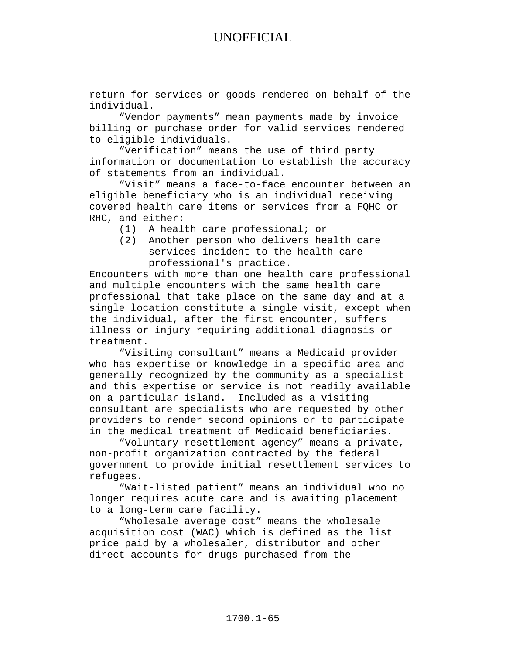return for services or goods rendered on behalf of the individual.

"Vendor payments" mean payments made by invoice billing or purchase order for valid services rendered to eligible individuals.

"Verification" means the use of third party information or documentation to establish the accuracy of statements from an individual.

"Visit" means a face-to-face encounter between an eligible beneficiary who is an individual receiving covered health care items or services from a FQHC or RHC, and either:

- (1) A health care professional; or
- (2) Another person who delivers health care services incident to the health care professional's practice.

Encounters with more than one health care professional and multiple encounters with the same health care professional that take place on the same day and at a single location constitute a single visit, except when the individual, after the first encounter, suffers illness or injury requiring additional diagnosis or treatment.

"Visiting consultant" means a Medicaid provider who has expertise or knowledge in a specific area and generally recognized by the community as a specialist and this expertise or service is not readily available on a particular island. Included as a visiting consultant are specialists who are requested by other providers to render second opinions or to participate in the medical treatment of Medicaid beneficiaries.

"Voluntary resettlement agency" means a private, non-profit organization contracted by the federal government to provide initial resettlement services to refugees.

"Wait-listed patient" means an individual who no longer requires acute care and is awaiting placement to a long-term care facility.

"Wholesale average cost" means the wholesale acquisition cost (WAC) which is defined as the list price paid by a wholesaler, distributor and other direct accounts for drugs purchased from the